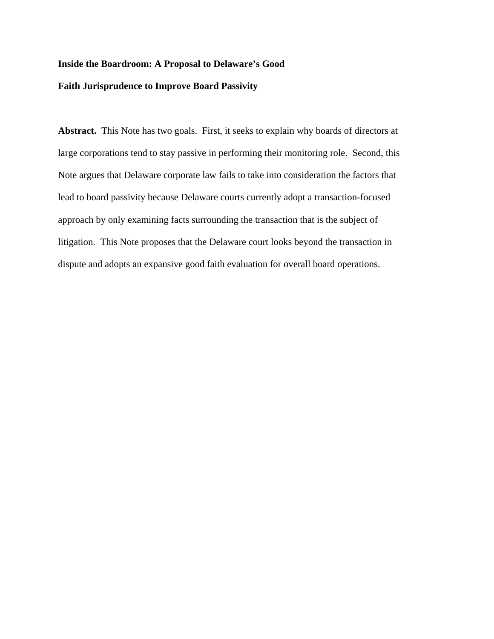## **Inside the Boardroom: A Proposal to Delaware's Good**

## **Faith Jurisprudence to Improve Board Passivity**

**Abstract.** This Note has two goals. First, it seeks to explain why boards of directors at large corporations tend to stay passive in performing their monitoring role. Second, this Note argues that Delaware corporate law fails to take into consideration the factors that lead to board passivity because Delaware courts currently adopt a transaction-focused approach by only examining facts surrounding the transaction that is the subject of litigation. This Note proposes that the Delaware court looks beyond the transaction in dispute and adopts an expansive good faith evaluation for overall board operations.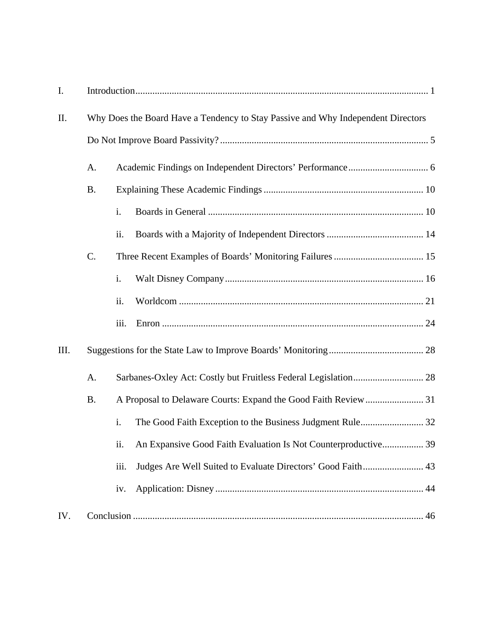| I.   |                                                                                  |      |                                                                |  |  |
|------|----------------------------------------------------------------------------------|------|----------------------------------------------------------------|--|--|
| II.  | Why Does the Board Have a Tendency to Stay Passive and Why Independent Directors |      |                                                                |  |  |
|      |                                                                                  |      |                                                                |  |  |
|      | A.                                                                               |      |                                                                |  |  |
|      | <b>B.</b>                                                                        |      |                                                                |  |  |
|      |                                                                                  | i.   |                                                                |  |  |
|      |                                                                                  | ii.  |                                                                |  |  |
|      | C.                                                                               |      |                                                                |  |  |
|      |                                                                                  | i.   |                                                                |  |  |
|      |                                                                                  | ii.  |                                                                |  |  |
|      |                                                                                  | iii. |                                                                |  |  |
| III. |                                                                                  |      |                                                                |  |  |
|      | A.                                                                               |      |                                                                |  |  |
|      | <b>B.</b>                                                                        |      |                                                                |  |  |
|      |                                                                                  | i.   | The Good Faith Exception to the Business Judgment Rule 32      |  |  |
|      |                                                                                  | 11.  | An Expansive Good Faith Evaluation Is Not Counterproductive 39 |  |  |
|      |                                                                                  | iii. | Judges Are Well Suited to Evaluate Directors' Good Faith 43    |  |  |
|      |                                                                                  | iv.  |                                                                |  |  |
| IV.  |                                                                                  |      |                                                                |  |  |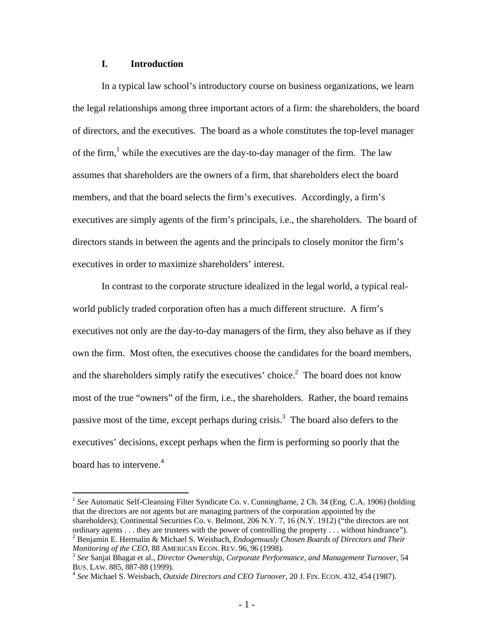## **I. Introduction**

In a typical law school's introductory course on business organizations, we learn the legal relationships among three important actors of a firm: the shareholders, the board of directors, and the executives. The board as a whole constitutes the top-level manager of the firm,<sup>1</sup> while the executives are the day-to-day manager of the firm. The law assumes that shareholders are the owners of a firm, that shareholders elect the board members, and that the board selects the firm's executives. Accordingly, a firm's executives are simply agents of the firm's principals, i.e., the shareholders. The board of directors stands in between the agents and the principals to closely monitor the firm's executives in order to maximize shareholders' interest.

In contrast to the corporate structure idealized in the legal world, a typical realworld publicly traded corporation often has a much different structure. A firm's executives not only are the day-to-day managers of the firm, they also behave as if they own the firm. Most often, the executives choose the candidates for the board members, and the shareholders simply ratify the executives' choice.<sup>2</sup> The board does not know most of the true "owners" of the firm, i.e., the shareholders. Rather, the board remains passive most of the time, except perhaps during crisis.<sup>3</sup> The board also defers to the executives' decisions, except perhaps when the firm is performing so poorly that the board has to intervene.<sup>4</sup>

<sup>&</sup>lt;sup>1</sup> See Automatic Self-Cleansing Filter Syndicate Co. v. Cunninghame, 2 Ch. 34 (Eng. C.A. 1906) (holding that the directors are not agents but are managing partners of the corporation appointed by the shareholders); Continental Securities Co. v. Belmont, 206 N.Y. 7, 16 (N.Y. 1912) ("the directors are not ordinary agents . . . they are trustees with the power of controlling the property . . . without hindrance"). 2 Benjamin E. Hermalin & Michael S. Weisbach, *Endogenously Chosen Boards of Directors and Their* 

*Monitoring of the CEO*, 88 AMERICAN ECON. REV. 96, 96 (1998).<br><sup>3</sup> *See* Sanjai Bhagat et al., *Director Ownership, Corporate Performance, and Management Turnover*, 54 BUS. LAW. 885, 887-88 (1999). 4 *See* Michael S. Weisbach, *Outside Directors and CEO Turnover*, 20 J. FIN. ECON. 432, <sup>454</sup> (1987).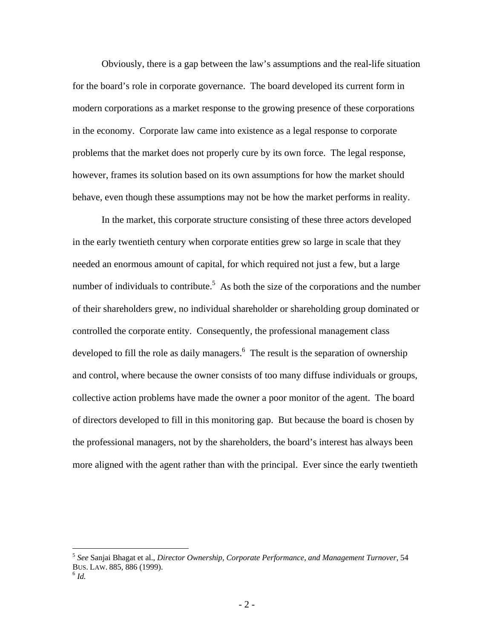Obviously, there is a gap between the law's assumptions and the real-life situation for the board's role in corporate governance. The board developed its current form in modern corporations as a market response to the growing presence of these corporations in the economy. Corporate law came into existence as a legal response to corporate problems that the market does not properly cure by its own force. The legal response, however, frames its solution based on its own assumptions for how the market should behave, even though these assumptions may not be how the market performs in reality.

In the market, this corporate structure consisting of these three actors developed in the early twentieth century when corporate entities grew so large in scale that they needed an enormous amount of capital, for which required not just a few, but a large number of individuals to contribute.<sup>5</sup> As both the size of the corporations and the number of their shareholders grew, no individual shareholder or shareholding group dominated or controlled the corporate entity. Consequently, the professional management class developed to fill the role as daily managers.<sup>6</sup> The result is the separation of ownership and control, where because the owner consists of too many diffuse individuals or groups, collective action problems have made the owner a poor monitor of the agent. The board of directors developed to fill in this monitoring gap. But because the board is chosen by the professional managers, not by the shareholders, the board's interest has always been more aligned with the agent rather than with the principal. Ever since the early twentieth

<sup>5</sup> *See* Sanjai Bhagat et al., *Director Ownership, Corporate Performance, and Management Turnover*, 54 BUS. LAW. 885, 886 (1999). 6 *Id.*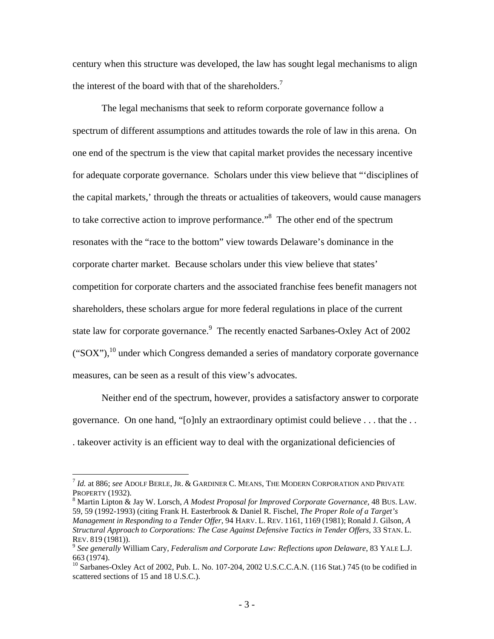century when this structure was developed, the law has sought legal mechanisms to align the interest of the board with that of the shareholders.<sup>7</sup>

The legal mechanisms that seek to reform corporate governance follow a spectrum of different assumptions and attitudes towards the role of law in this arena. On one end of the spectrum is the view that capital market provides the necessary incentive for adequate corporate governance. Scholars under this view believe that "'disciplines of the capital markets,' through the threats or actualities of takeovers, would cause managers to take corrective action to improve performance.<sup>38</sup> The other end of the spectrum resonates with the "race to the bottom" view towards Delaware's dominance in the corporate charter market. Because scholars under this view believe that states' competition for corporate charters and the associated franchise fees benefit managers not shareholders, these scholars argue for more federal regulations in place of the current state law for corporate governance.<sup>9</sup> The recently enacted Sarbanes-Oxley Act of 2002  $("SOX")$ ,<sup>10</sup> under which Congress demanded a series of mandatory corporate governance measures, can be seen as a result of this view's advocates.

Neither end of the spectrum, however, provides a satisfactory answer to corporate governance. On one hand, "[o]nly an extraordinary optimist could believe . . . that the . . . takeover activity is an efficient way to deal with the organizational deficiencies of

<sup>7</sup> *Id.* at 886; *see* ADOLF BERLE, JR. & GARDINER C. MEANS, THE MODERN CORPORATION AND PRIVATE PROPERTY (1932).

Martin Lipton & Jay W. Lorsch, *A Modest Proposal for Improved Corporate Governance*, 48 BUS. LAW. 59, 59 (1992-1993) (citing Frank H. Easterbrook & Daniel R. Fischel, *The Proper Role of a Target's Management in Responding to a Tender Offer*, 94 HARV. L. REV. 1161, 1169 (1981); Ronald J. Gilson, *A Structural Approach to Corporations: The Case Against Defensive Tactics in Tender Offers*, 33 STAN. L.

REV. 819 (1981)).<br><sup>9</sup> *See generally* William Cary, *Federalism and Corporate Law: Reflections upon Delaware*, 83 YALE L.J.<br>663 (1974).

 $^{10}$  Sarbanes-Oxley Act of 2002, Pub. L. No. 107-204, 2002 U.S.C.C.A.N. (116 Stat.) 745 (to be codified in scattered sections of 15 and 18 U.S.C.).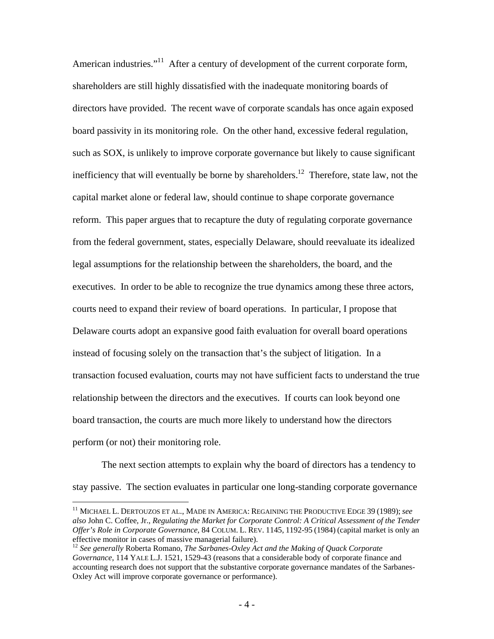American industries."<sup>11</sup> After a century of development of the current corporate form, shareholders are still highly dissatisfied with the inadequate monitoring boards of directors have provided. The recent wave of corporate scandals has once again exposed board passivity in its monitoring role. On the other hand, excessive federal regulation, such as SOX, is unlikely to improve corporate governance but likely to cause significant inefficiency that will eventually be borne by shareholders.<sup>12</sup> Therefore, state law, not the capital market alone or federal law, should continue to shape corporate governance reform. This paper argues that to recapture the duty of regulating corporate governance from the federal government, states, especially Delaware, should reevaluate its idealized legal assumptions for the relationship between the shareholders, the board, and the executives. In order to be able to recognize the true dynamics among these three actors, courts need to expand their review of board operations. In particular, I propose that Delaware courts adopt an expansive good faith evaluation for overall board operations instead of focusing solely on the transaction that's the subject of litigation. In a transaction focused evaluation, courts may not have sufficient facts to understand the true relationship between the directors and the executives. If courts can look beyond one board transaction, the courts are much more likely to understand how the directors perform (or not) their monitoring role.

The next section attempts to explain why the board of directors has a tendency to stay passive. The section evaluates in particular one long-standing corporate governance

<sup>11</sup> MICHAEL L. DERTOUZOS ET AL., MADE IN AMERICA: REGAINING THE PRODUCTIVE EDGE 39 (1989); *see also* John C. Coffee, Jr., *Regulating the Market for Corporate Control: A Critical Assessment of the Tender Offer's Role in Corporate Governance*, 84 COLUM. L. REV. 1145, 1192-95 (1984) (capital market is only an effective monitor in cases of massive managerial failure).

<sup>12</sup> *See generally* Roberta Romano, *The Sarbanes-Oxley Act and the Making of Quack Corporate Governance*, 114 YALE L.J. 1521, 1529-43 (reasons that a considerable body of corporate finance and accounting research does not support that the substantive corporate governance mandates of the Sarbanes-Oxley Act will improve corporate governance or performance).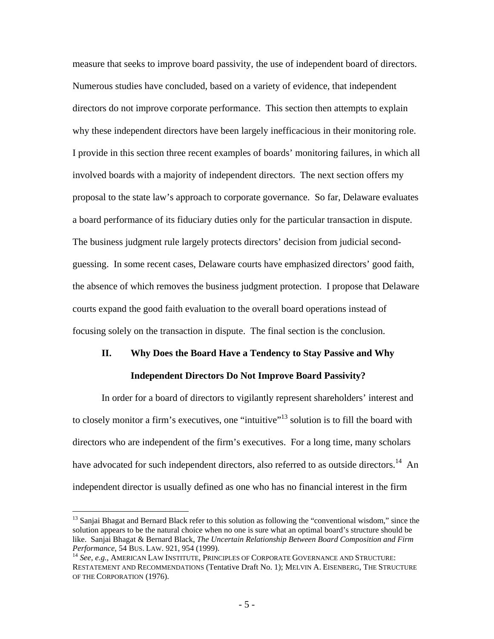measure that seeks to improve board passivity, the use of independent board of directors. Numerous studies have concluded, based on a variety of evidence, that independent directors do not improve corporate performance. This section then attempts to explain why these independent directors have been largely inefficacious in their monitoring role. I provide in this section three recent examples of boards' monitoring failures, in which all involved boards with a majority of independent directors. The next section offers my proposal to the state law's approach to corporate governance. So far, Delaware evaluates a board performance of its fiduciary duties only for the particular transaction in dispute. The business judgment rule largely protects directors' decision from judicial secondguessing. In some recent cases, Delaware courts have emphasized directors' good faith, the absence of which removes the business judgment protection. I propose that Delaware courts expand the good faith evaluation to the overall board operations instead of focusing solely on the transaction in dispute. The final section is the conclusion.

# **II. Why Does the Board Have a Tendency to Stay Passive and Why Independent Directors Do Not Improve Board Passivity?**

In order for a board of directors to vigilantly represent shareholders' interest and to closely monitor a firm's executives, one "intuitive"<sup>13</sup> solution is to fill the board with directors who are independent of the firm's executives. For a long time, many scholars have advocated for such independent directors, also referred to as outside directors.<sup>14</sup> An independent director is usually defined as one who has no financial interest in the firm

<u>.</u>

<sup>&</sup>lt;sup>13</sup> Sanjai Bhagat and Bernard Black refer to this solution as following the "conventional wisdom," since the solution appears to be the natural choice when no one is sure what an optimal board's structure should be like. Sanjai Bhagat & Bernard Black, *The Uncertain Relationship Between Board Composition and Firm Performance*, 54 BUS. LAW. 921, 954 (1999).<br><sup>14</sup> *See, e.g.*, AMERICAN LAW INSTITUTE, PRINCIPLES OF CORPORATE GOVERNANCE AND STRUCTURE:

RESTATEMENT AND RECOMMENDATIONS (Tentative Draft No. 1); MELVIN A. EISENBERG, THE STRUCTURE OF THE CORPORATION (1976).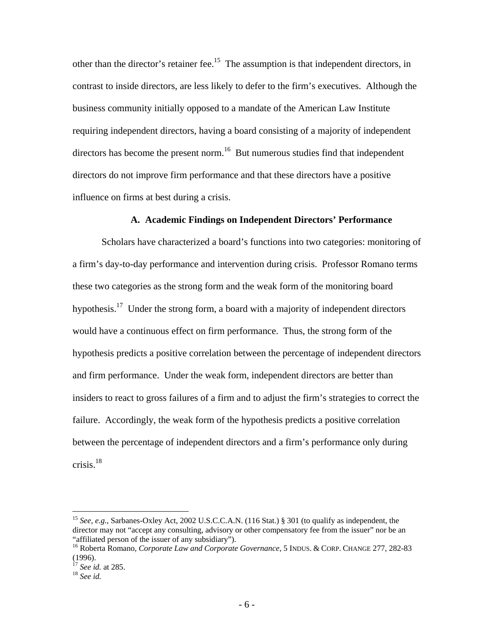other than the director's retainer fee.<sup>15</sup> The assumption is that independent directors, in contrast to inside directors, are less likely to defer to the firm's executives. Although the business community initially opposed to a mandate of the American Law Institute requiring independent directors, having a board consisting of a majority of independent directors has become the present norm.<sup>16</sup> But numerous studies find that independent directors do not improve firm performance and that these directors have a positive influence on firms at best during a crisis.

## **A. Academic Findings on Independent Directors' Performance**

Scholars have characterized a board's functions into two categories: monitoring of a firm's day-to-day performance and intervention during crisis. Professor Romano terms these two categories as the strong form and the weak form of the monitoring board hypothesis.<sup>17</sup> Under the strong form, a board with a majority of independent directors would have a continuous effect on firm performance. Thus, the strong form of the hypothesis predicts a positive correlation between the percentage of independent directors and firm performance. Under the weak form, independent directors are better than insiders to react to gross failures of a firm and to adjust the firm's strategies to correct the failure. Accordingly, the weak form of the hypothesis predicts a positive correlation between the percentage of independent directors and a firm's performance only during crisis. $18$ 

<sup>15</sup> *See, e.g.*, Sarbanes-Oxley Act, 2002 U.S.C.C.A.N. (116 Stat.) § 301 (to qualify as independent, the director may not "accept any consulting, advisory or other compensatory fee from the issuer" nor be an "affiliated person of the issuer of any subsidiary").

<sup>&</sup>lt;sup>16</sup> Roberta Romano, *Corporate Law and Corporate Governance*, 5 INDUS. & CORP. CHANGE 277, 282-83 (1996).

<sup>17</sup> *See id.* at 285. 18 *See id.*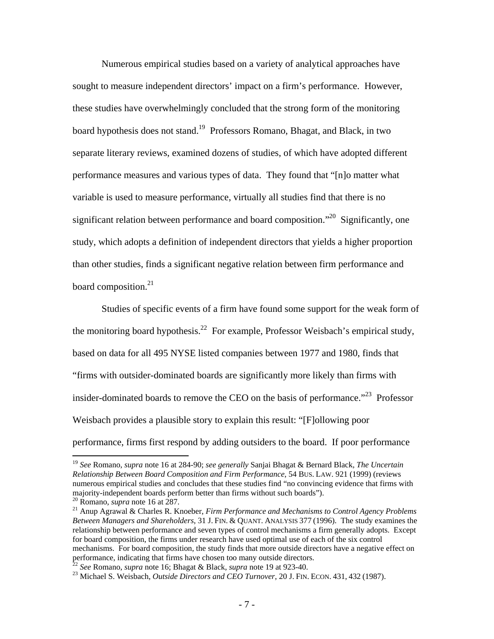Numerous empirical studies based on a variety of analytical approaches have sought to measure independent directors' impact on a firm's performance. However, these studies have overwhelmingly concluded that the strong form of the monitoring board hypothesis does not stand.19 Professors Romano, Bhagat, and Black, in two separate literary reviews, examined dozens of studies, of which have adopted different performance measures and various types of data. They found that "[n]o matter what variable is used to measure performance, virtually all studies find that there is no significant relation between performance and board composition.<sup> $20$ </sup> Significantly, one study, which adopts a definition of independent directors that yields a higher proportion than other studies, finds a significant negative relation between firm performance and board composition.<sup>21</sup>

Studies of specific events of a firm have found some support for the weak form of the monitoring board hypothesis.<sup>22</sup> For example, Professor Weisbach's empirical study, based on data for all 495 NYSE listed companies between 1977 and 1980, finds that "firms with outsider-dominated boards are significantly more likely than firms with insider-dominated boards to remove the CEO on the basis of performance."23 Professor Weisbach provides a plausible story to explain this result: "[F]ollowing poor performance, firms first respond by adding outsiders to the board. If poor performance

<sup>19</sup> *See* Romano, *supra* note 16 at 284-90; *see generally* Sanjai Bhagat & Bernard Black, *The Uncertain Relationship Between Board Composition and Firm Performance*, 54 BUS. LAW. 921 (1999) (reviews numerous empirical studies and concludes that these studies find "no convincing evidence that firms with majority-independent boards perform better than firms without such boards"). <sup>20</sup> Romano, *supra* note 16 at 287.

<sup>&</sup>lt;sup>21</sup> Anup Agrawal & Charles R. Knoeber, *Firm Performance and Mechanisms to Control Agency Problems Between Managers and Shareholders*, 31 J. FIN. & QUANT. ANALYSIS 377 (1996). The study examines the relationship between performance and seven types of control mechanisms a firm generally adopts. Except for board composition, the firms under research have used optimal use of each of the six control mechanisms. For board composition, the study finds that more outside directors have a negative effect on performance, indicating that firms have chosen too many outside directors.<br><sup>22</sup> See Romano, *supra* note 16; Bhagat & Black, *supra* note 19 at 923-40.

<sup>&</sup>lt;sup>23</sup> Michael S. Weisbach, *Outside Directors and CEO Turnover*, 20 J. FIN. ECON. 431, 432 (1987).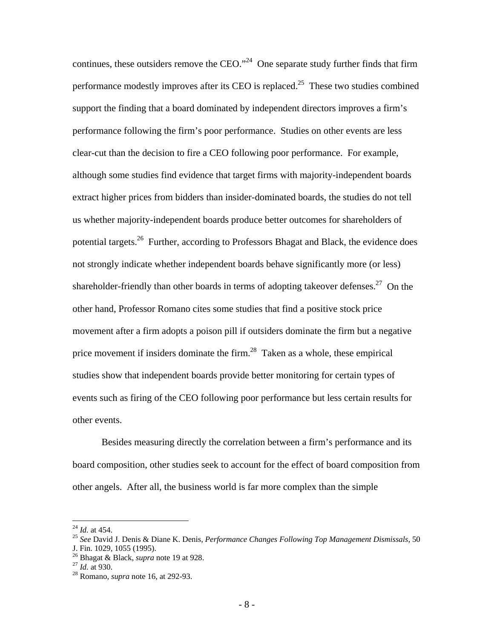continues, these outsiders remove the CEO."<sup>24</sup> One separate study further finds that firm performance modestly improves after its CEO is replaced.<sup>25</sup> These two studies combined support the finding that a board dominated by independent directors improves a firm's performance following the firm's poor performance. Studies on other events are less clear-cut than the decision to fire a CEO following poor performance. For example, although some studies find evidence that target firms with majority-independent boards extract higher prices from bidders than insider-dominated boards, the studies do not tell us whether majority-independent boards produce better outcomes for shareholders of potential targets.26 Further, according to Professors Bhagat and Black, the evidence does not strongly indicate whether independent boards behave significantly more (or less) shareholder-friendly than other boards in terms of adopting takeover defenses.<sup>27</sup> On the other hand, Professor Romano cites some studies that find a positive stock price movement after a firm adopts a poison pill if outsiders dominate the firm but a negative price movement if insiders dominate the firm. $^{28}$  Taken as a whole, these empirical studies show that independent boards provide better monitoring for certain types of events such as firing of the CEO following poor performance but less certain results for other events.

Besides measuring directly the correlation between a firm's performance and its board composition, other studies seek to account for the effect of board composition from other angels. After all, the business world is far more complex than the simple

 $^{24}$  *Id.* at 454.

<sup>&</sup>lt;sup>25</sup> See David J. Denis & Diane K. Denis, *Performance Changes Following Top Management Dismissals*, 50 J. Fin. 1029, 1055 (1995).

<sup>26</sup> Bhagat & Black, *supra* note 19 at 928. 27 *Id.* at 930. 28 Romano, *supra* note 16, at 292-93.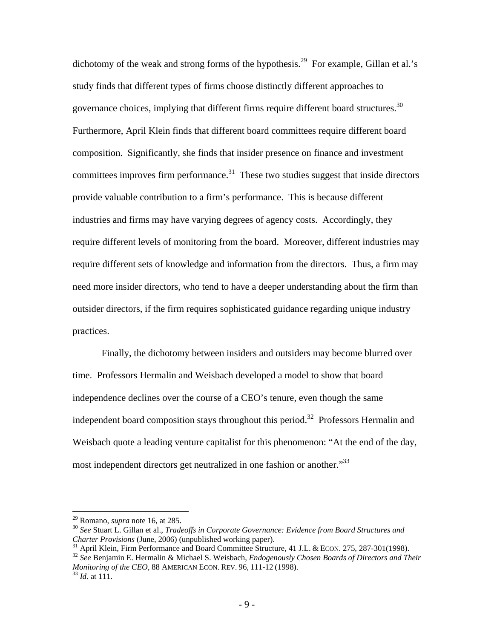dichotomy of the weak and strong forms of the hypothesis.<sup>29</sup> For example, Gillan et al.'s study finds that different types of firms choose distinctly different approaches to governance choices, implying that different firms require different board structures.<sup>30</sup> Furthermore, April Klein finds that different board committees require different board composition. Significantly, she finds that insider presence on finance and investment committees improves firm performance. $31$  These two studies suggest that inside directors provide valuable contribution to a firm's performance. This is because different industries and firms may have varying degrees of agency costs. Accordingly, they require different levels of monitoring from the board. Moreover, different industries may require different sets of knowledge and information from the directors. Thus, a firm may need more insider directors, who tend to have a deeper understanding about the firm than outsider directors, if the firm requires sophisticated guidance regarding unique industry practices.

Finally, the dichotomy between insiders and outsiders may become blurred over time. Professors Hermalin and Weisbach developed a model to show that board independence declines over the course of a CEO's tenure, even though the same independent board composition stays throughout this period.<sup>32</sup> Professors Hermalin and Weisbach quote a leading venture capitalist for this phenomenon: "At the end of the day, most independent directors get neutralized in one fashion or another.<sup>33</sup>

 $29$  Romano, *supra* note 16, at 285.

<sup>&</sup>lt;sup>30</sup> See Stuart L. Gillan et al., *Tradeoffs in Corporate Governance: Evidence from Board Structures and Charter Provisions (June, 2006) (unpublished working paper).* 

<sup>&</sup>lt;sup>31</sup> April Klein, Firm Performance and Board Committee Structure, 41 J.L. & ECON. 275, 287-301(1998).<br><sup>32</sup> See Benjamin E. Hermalin & Michael S. Weisbach, *Endogenously Chosen Boards of Directors and Their Monitoring of the CEO*, 88 AMERICAN ECON. REV. 96, 111-12 (1998). <sup>33</sup> *Id.* at 111.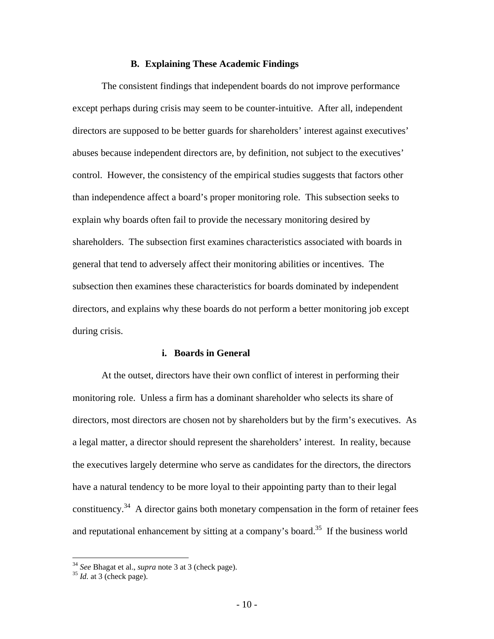## **B. Explaining These Academic Findings**

The consistent findings that independent boards do not improve performance except perhaps during crisis may seem to be counter-intuitive. After all, independent directors are supposed to be better guards for shareholders' interest against executives' abuses because independent directors are, by definition, not subject to the executives' control. However, the consistency of the empirical studies suggests that factors other than independence affect a board's proper monitoring role. This subsection seeks to explain why boards often fail to provide the necessary monitoring desired by shareholders. The subsection first examines characteristics associated with boards in general that tend to adversely affect their monitoring abilities or incentives. The subsection then examines these characteristics for boards dominated by independent directors, and explains why these boards do not perform a better monitoring job except during crisis.

#### **i. Boards in General**

At the outset, directors have their own conflict of interest in performing their monitoring role. Unless a firm has a dominant shareholder who selects its share of directors, most directors are chosen not by shareholders but by the firm's executives. As a legal matter, a director should represent the shareholders' interest. In reality, because the executives largely determine who serve as candidates for the directors, the directors have a natural tendency to be more loyal to their appointing party than to their legal constituency.<sup>34</sup> A director gains both monetary compensation in the form of retainer fees and reputational enhancement by sitting at a company's board.<sup>35</sup> If the business world

<sup>34</sup> *See* Bhagat et al., *supra* note 3 at 3 (check page). 35 *Id.* at 3 (check page).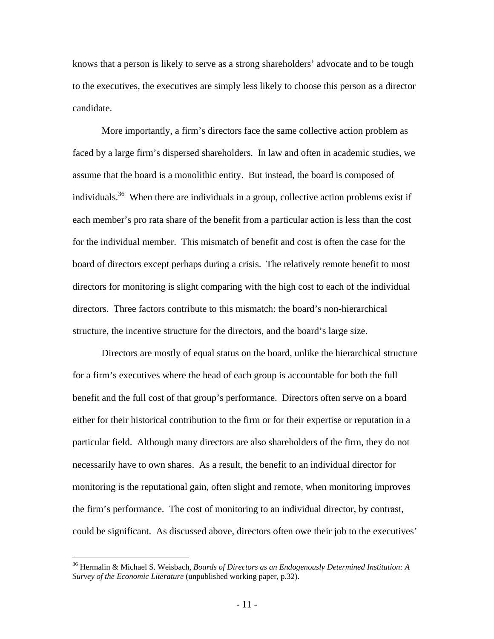knows that a person is likely to serve as a strong shareholders' advocate and to be tough to the executives, the executives are simply less likely to choose this person as a director candidate.

More importantly, a firm's directors face the same collective action problem as faced by a large firm's dispersed shareholders. In law and often in academic studies, we assume that the board is a monolithic entity. But instead, the board is composed of individuals.<sup>36</sup> When there are individuals in a group, collective action problems exist if each member's pro rata share of the benefit from a particular action is less than the cost for the individual member. This mismatch of benefit and cost is often the case for the board of directors except perhaps during a crisis. The relatively remote benefit to most directors for monitoring is slight comparing with the high cost to each of the individual directors. Three factors contribute to this mismatch: the board's non-hierarchical structure, the incentive structure for the directors, and the board's large size.

Directors are mostly of equal status on the board, unlike the hierarchical structure for a firm's executives where the head of each group is accountable for both the full benefit and the full cost of that group's performance. Directors often serve on a board either for their historical contribution to the firm or for their expertise or reputation in a particular field. Although many directors are also shareholders of the firm, they do not necessarily have to own shares. As a result, the benefit to an individual director for monitoring is the reputational gain, often slight and remote, when monitoring improves the firm's performance. The cost of monitoring to an individual director, by contrast, could be significant. As discussed above, directors often owe their job to the executives'

<sup>36</sup> Hermalin & Michael S. Weisbach, *Boards of Directors as an Endogenously Determined Institution: A Survey of the Economic Literature* (unpublished working paper, p.32).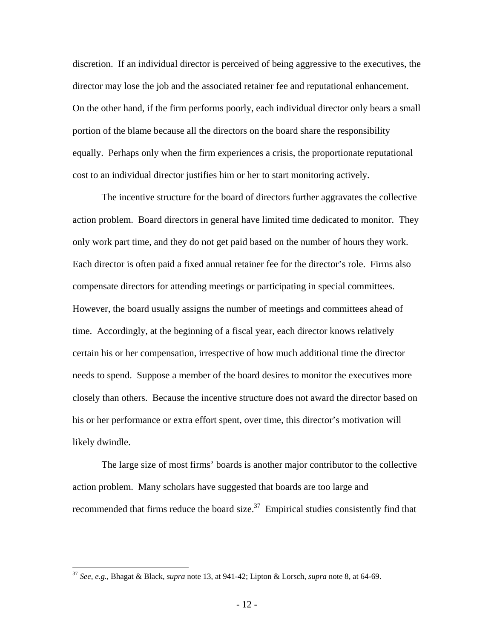discretion. If an individual director is perceived of being aggressive to the executives, the director may lose the job and the associated retainer fee and reputational enhancement. On the other hand, if the firm performs poorly, each individual director only bears a small portion of the blame because all the directors on the board share the responsibility equally. Perhaps only when the firm experiences a crisis, the proportionate reputational cost to an individual director justifies him or her to start monitoring actively.

The incentive structure for the board of directors further aggravates the collective action problem. Board directors in general have limited time dedicated to monitor. They only work part time, and they do not get paid based on the number of hours they work. Each director is often paid a fixed annual retainer fee for the director's role. Firms also compensate directors for attending meetings or participating in special committees. However, the board usually assigns the number of meetings and committees ahead of time. Accordingly, at the beginning of a fiscal year, each director knows relatively certain his or her compensation, irrespective of how much additional time the director needs to spend. Suppose a member of the board desires to monitor the executives more closely than others. Because the incentive structure does not award the director based on his or her performance or extra effort spent, over time, this director's motivation will likely dwindle.

The large size of most firms' boards is another major contributor to the collective action problem. Many scholars have suggested that boards are too large and recommended that firms reduce the board size.<sup>37</sup> Empirical studies consistently find that

<u>.</u>

<sup>37</sup> *See, e.g.*, Bhagat & Black, *supra* note 13, at 941-42; Lipton & Lorsch, *supra* note 8, at 64-69.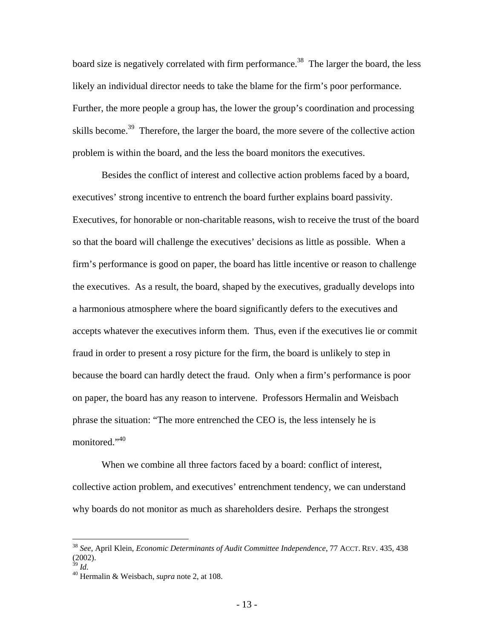board size is negatively correlated with firm performance.<sup>38</sup> The larger the board, the less likely an individual director needs to take the blame for the firm's poor performance. Further, the more people a group has, the lower the group's coordination and processing skills become.<sup>39</sup> Therefore, the larger the board, the more severe of the collective action problem is within the board, and the less the board monitors the executives.

Besides the conflict of interest and collective action problems faced by a board, executives' strong incentive to entrench the board further explains board passivity. Executives, for honorable or non-charitable reasons, wish to receive the trust of the board so that the board will challenge the executives' decisions as little as possible. When a firm's performance is good on paper, the board has little incentive or reason to challenge the executives. As a result, the board, shaped by the executives, gradually develops into a harmonious atmosphere where the board significantly defers to the executives and accepts whatever the executives inform them. Thus, even if the executives lie or commit fraud in order to present a rosy picture for the firm, the board is unlikely to step in because the board can hardly detect the fraud. Only when a firm's performance is poor on paper, the board has any reason to intervene. Professors Hermalin and Weisbach phrase the situation: "The more entrenched the CEO is, the less intensely he is monitored."<sup>40</sup>

When we combine all three factors faced by a board: conflict of interest, collective action problem, and executives' entrenchment tendency, we can understand why boards do not monitor as much as shareholders desire. Perhaps the strongest

<u>.</u>

<sup>38</sup> *See*, April Klein, *Economic Determinants of Audit Committee Independence*, 77 ACCT. REV. 435, 438  $^{(2002)}_{39}$  *Id.* 

<sup>39</sup> *Id.* 40 Hermalin & Weisbach, *supra* note 2, at 108.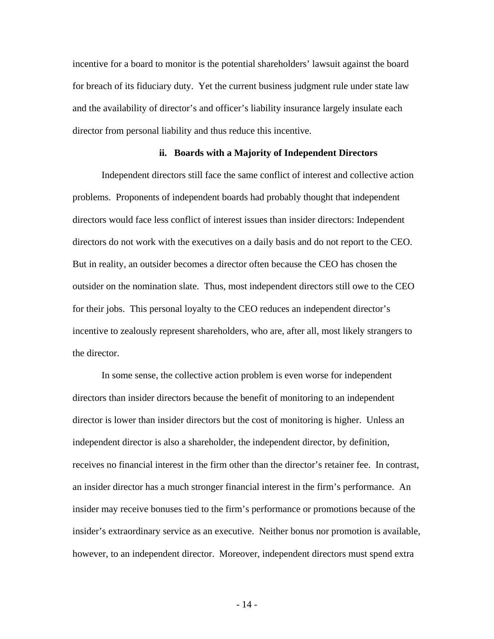incentive for a board to monitor is the potential shareholders' lawsuit against the board for breach of its fiduciary duty. Yet the current business judgment rule under state law and the availability of director's and officer's liability insurance largely insulate each director from personal liability and thus reduce this incentive.

#### **ii. Boards with a Majority of Independent Directors**

Independent directors still face the same conflict of interest and collective action problems. Proponents of independent boards had probably thought that independent directors would face less conflict of interest issues than insider directors: Independent directors do not work with the executives on a daily basis and do not report to the CEO. But in reality, an outsider becomes a director often because the CEO has chosen the outsider on the nomination slate. Thus, most independent directors still owe to the CEO for their jobs. This personal loyalty to the CEO reduces an independent director's incentive to zealously represent shareholders, who are, after all, most likely strangers to the director.

In some sense, the collective action problem is even worse for independent directors than insider directors because the benefit of monitoring to an independent director is lower than insider directors but the cost of monitoring is higher. Unless an independent director is also a shareholder, the independent director, by definition, receives no financial interest in the firm other than the director's retainer fee. In contrast, an insider director has a much stronger financial interest in the firm's performance. An insider may receive bonuses tied to the firm's performance or promotions because of the insider's extraordinary service as an executive. Neither bonus nor promotion is available, however, to an independent director. Moreover, independent directors must spend extra

 $-14$  -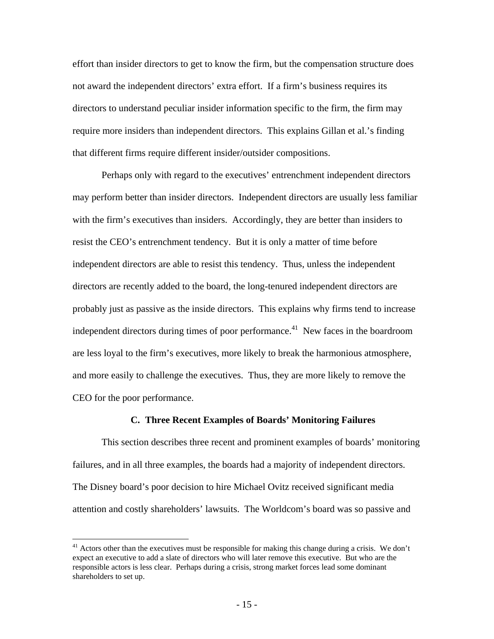effort than insider directors to get to know the firm, but the compensation structure does not award the independent directors' extra effort. If a firm's business requires its directors to understand peculiar insider information specific to the firm, the firm may require more insiders than independent directors. This explains Gillan et al.'s finding that different firms require different insider/outsider compositions.

Perhaps only with regard to the executives' entrenchment independent directors may perform better than insider directors. Independent directors are usually less familiar with the firm's executives than insiders. Accordingly, they are better than insiders to resist the CEO's entrenchment tendency. But it is only a matter of time before independent directors are able to resist this tendency. Thus, unless the independent directors are recently added to the board, the long-tenured independent directors are probably just as passive as the inside directors. This explains why firms tend to increase independent directors during times of poor performance.<sup>41</sup> New faces in the boardroom are less loyal to the firm's executives, more likely to break the harmonious atmosphere, and more easily to challenge the executives. Thus, they are more likely to remove the CEO for the poor performance.

### **C. Three Recent Examples of Boards' Monitoring Failures**

This section describes three recent and prominent examples of boards' monitoring failures, and in all three examples, the boards had a majority of independent directors. The Disney board's poor decision to hire Michael Ovitz received significant media attention and costly shareholders' lawsuits. The Worldcom's board was so passive and

 $41$  Actors other than the executives must be responsible for making this change during a crisis. We don't expect an executive to add a slate of directors who will later remove this executive. But who are the responsible actors is less clear. Perhaps during a crisis, strong market forces lead some dominant shareholders to set up.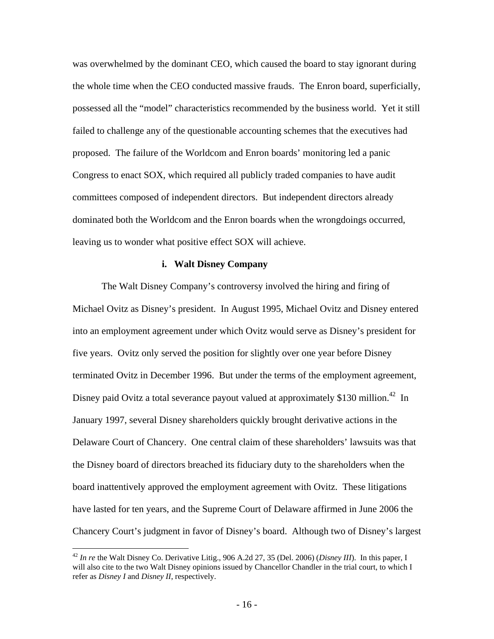was overwhelmed by the dominant CEO, which caused the board to stay ignorant during the whole time when the CEO conducted massive frauds. The Enron board, superficially, possessed all the "model" characteristics recommended by the business world. Yet it still failed to challenge any of the questionable accounting schemes that the executives had proposed. The failure of the Worldcom and Enron boards' monitoring led a panic Congress to enact SOX, which required all publicly traded companies to have audit committees composed of independent directors. But independent directors already dominated both the Worldcom and the Enron boards when the wrongdoings occurred, leaving us to wonder what positive effect SOX will achieve.

#### **i. Walt Disney Company**

The Walt Disney Company's controversy involved the hiring and firing of Michael Ovitz as Disney's president. In August 1995, Michael Ovitz and Disney entered into an employment agreement under which Ovitz would serve as Disney's president for five years. Ovitz only served the position for slightly over one year before Disney terminated Ovitz in December 1996. But under the terms of the employment agreement, Disney paid Ovitz a total severance payout valued at approximately \$130 million.<sup>42</sup> In January 1997, several Disney shareholders quickly brought derivative actions in the Delaware Court of Chancery. One central claim of these shareholders' lawsuits was that the Disney board of directors breached its fiduciary duty to the shareholders when the board inattentively approved the employment agreement with Ovitz. These litigations have lasted for ten years, and the Supreme Court of Delaware affirmed in June 2006 the Chancery Court's judgment in favor of Disney's board. Although two of Disney's largest

<sup>42</sup> *In re* the Walt Disney Co. Derivative Litig., 906 A.2d 27, 35 (Del. 2006) (*Disney III*). In this paper, I will also cite to the two Walt Disney opinions issued by Chancellor Chandler in the trial court, to which I refer as *Disney I* and *Disney II*, respectively.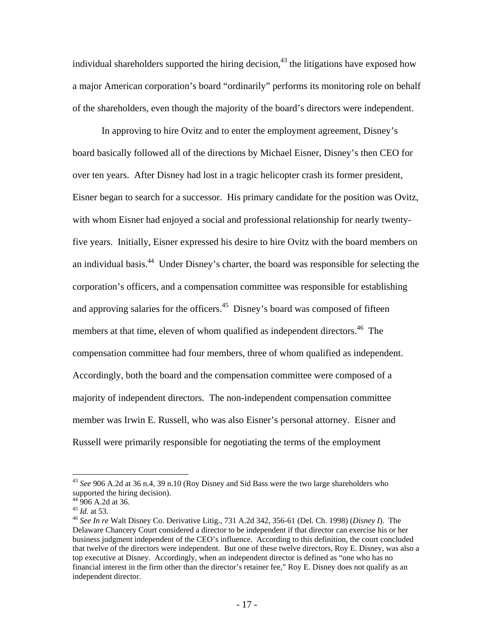individual shareholders supported the hiring decision,<sup>43</sup> the litigations have exposed how a major American corporation's board "ordinarily" performs its monitoring role on behalf of the shareholders, even though the majority of the board's directors were independent.

In approving to hire Ovitz and to enter the employment agreement, Disney's board basically followed all of the directions by Michael Eisner, Disney's then CEO for over ten years. After Disney had lost in a tragic helicopter crash its former president, Eisner began to search for a successor. His primary candidate for the position was Ovitz, with whom Eisner had enjoyed a social and professional relationship for nearly twentyfive years. Initially, Eisner expressed his desire to hire Ovitz with the board members on an individual basis.<sup>44</sup> Under Disney's charter, the board was responsible for selecting the corporation's officers, and a compensation committee was responsible for establishing and approving salaries for the officers.<sup>45</sup> Disney's board was composed of fifteen members at that time, eleven of whom qualified as independent directors.<sup>46</sup> The compensation committee had four members, three of whom qualified as independent. Accordingly, both the board and the compensation committee were composed of a majority of independent directors. The non-independent compensation committee member was Irwin E. Russell, who was also Eisner's personal attorney. Eisner and Russell were primarily responsible for negotiating the terms of the employment

<sup>43</sup> *See* 906 A.2d at 36 n.4, 39 n.10 (Roy Disney and Sid Bass were the two large shareholders who supported the hiring decision).

 $44\overline{906}$  A.2d at 36.<br> $45$  *Id.* at 53.

<sup>45</sup> *Id.* at 53. 46 *See In re* Walt Disney Co. Derivative Litig., 731 A.2d 342, 356-61 (Del. Ch. 1998) (*Disney I*). The Delaware Chancery Court considered a director to be independent if that director can exercise his or her business judgment independent of the CEO's influence. According to this definition, the court concluded that twelve of the directors were independent. But one of these twelve directors, Roy E. Disney, was also a top executive at Disney. Accordingly, when an independent director is defined as "one who has no financial interest in the firm other than the director's retainer fee," Roy E. Disney does not qualify as an independent director.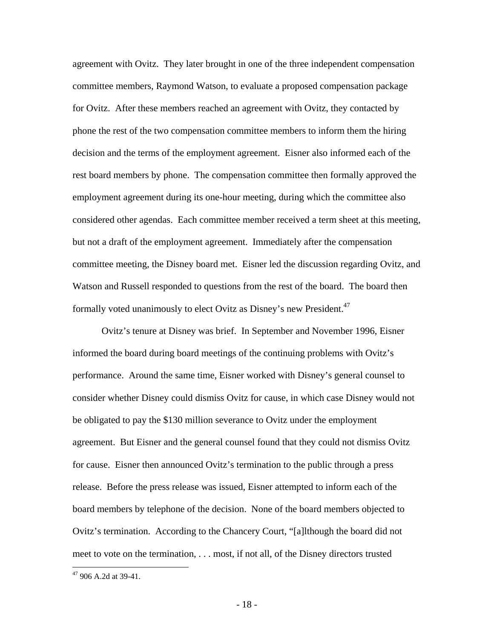agreement with Ovitz. They later brought in one of the three independent compensation committee members, Raymond Watson, to evaluate a proposed compensation package for Ovitz. After these members reached an agreement with Ovitz, they contacted by phone the rest of the two compensation committee members to inform them the hiring decision and the terms of the employment agreement. Eisner also informed each of the rest board members by phone. The compensation committee then formally approved the employment agreement during its one-hour meeting, during which the committee also considered other agendas. Each committee member received a term sheet at this meeting, but not a draft of the employment agreement. Immediately after the compensation committee meeting, the Disney board met. Eisner led the discussion regarding Ovitz, and Watson and Russell responded to questions from the rest of the board. The board then formally voted unanimously to elect Ovitz as Disney's new President.<sup>47</sup>

Ovitz's tenure at Disney was brief. In September and November 1996, Eisner informed the board during board meetings of the continuing problems with Ovitz's performance. Around the same time, Eisner worked with Disney's general counsel to consider whether Disney could dismiss Ovitz for cause, in which case Disney would not be obligated to pay the \$130 million severance to Ovitz under the employment agreement. But Eisner and the general counsel found that they could not dismiss Ovitz for cause. Eisner then announced Ovitz's termination to the public through a press release. Before the press release was issued, Eisner attempted to inform each of the board members by telephone of the decision. None of the board members objected to Ovitz's termination. According to the Chancery Court, "[a]lthough the board did not meet to vote on the termination, . . . most, if not all, of the Disney directors trusted

 $47$  906 A.2d at 39-41.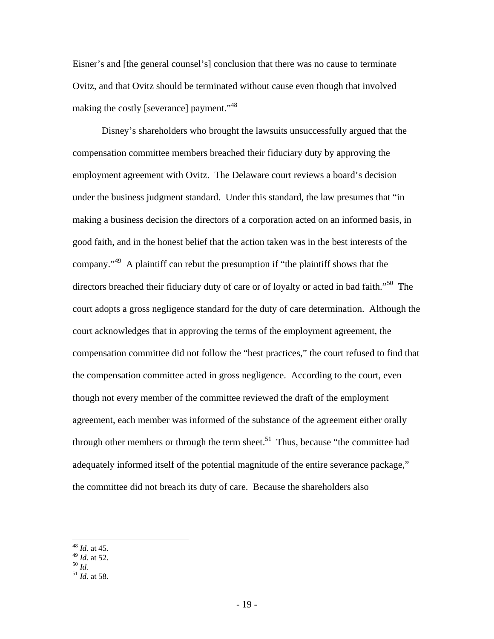Eisner's and [the general counsel's] conclusion that there was no cause to terminate Ovitz, and that Ovitz should be terminated without cause even though that involved making the costly [severance] payment."<sup>48</sup>

Disney's shareholders who brought the lawsuits unsuccessfully argued that the compensation committee members breached their fiduciary duty by approving the employment agreement with Ovitz. The Delaware court reviews a board's decision under the business judgment standard. Under this standard, the law presumes that "in making a business decision the directors of a corporation acted on an informed basis, in good faith, and in the honest belief that the action taken was in the best interests of the company."49 A plaintiff can rebut the presumption if "the plaintiff shows that the directors breached their fiduciary duty of care or of loyalty or acted in bad faith."<sup>50</sup> The court adopts a gross negligence standard for the duty of care determination. Although the court acknowledges that in approving the terms of the employment agreement, the compensation committee did not follow the "best practices," the court refused to find that the compensation committee acted in gross negligence. According to the court, even though not every member of the committee reviewed the draft of the employment agreement, each member was informed of the substance of the agreement either orally through other members or through the term sheet.<sup>51</sup> Thus, because "the committee had adequately informed itself of the potential magnitude of the entire severance package," the committee did not breach its duty of care. Because the shareholders also

<sup>48</sup> *Id.* at 45.

<sup>49</sup> *Id.* at 52. 50 *Id.* <sup>51</sup> *Id.* at 58.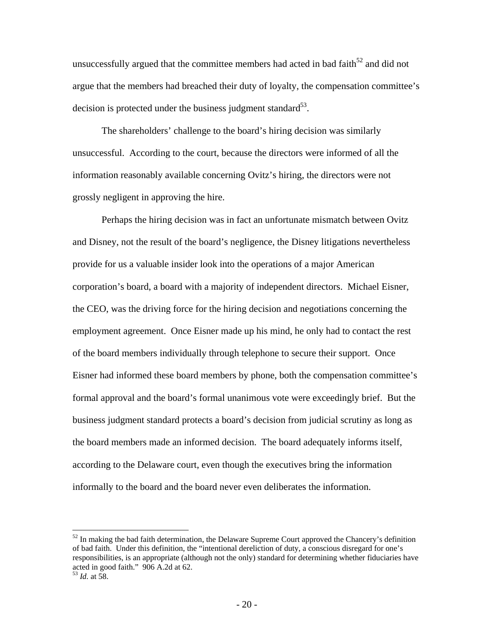unsuccessfully argued that the committee members had acted in bad faith<sup>52</sup> and did not argue that the members had breached their duty of loyalty, the compensation committee's decision is protected under the business judgment standard<sup>53</sup>.

The shareholders' challenge to the board's hiring decision was similarly unsuccessful. According to the court, because the directors were informed of all the information reasonably available concerning Ovitz's hiring, the directors were not grossly negligent in approving the hire.

Perhaps the hiring decision was in fact an unfortunate mismatch between Ovitz and Disney, not the result of the board's negligence, the Disney litigations nevertheless provide for us a valuable insider look into the operations of a major American corporation's board, a board with a majority of independent directors. Michael Eisner, the CEO, was the driving force for the hiring decision and negotiations concerning the employment agreement. Once Eisner made up his mind, he only had to contact the rest of the board members individually through telephone to secure their support. Once Eisner had informed these board members by phone, both the compensation committee's formal approval and the board's formal unanimous vote were exceedingly brief. But the business judgment standard protects a board's decision from judicial scrutiny as long as the board members made an informed decision. The board adequately informs itself, according to the Delaware court, even though the executives bring the information informally to the board and the board never even deliberates the information.

 $52$  In making the bad faith determination, the Delaware Supreme Court approved the Chancery's definition of bad faith. Under this definition, the "intentional dereliction of duty, a conscious disregard for one's responsibilities, is an appropriate (although not the only) standard for determining whether fiduciaries have acted in good faith." 906 A.2d at 62.

<sup>53</sup> *Id.* at 58.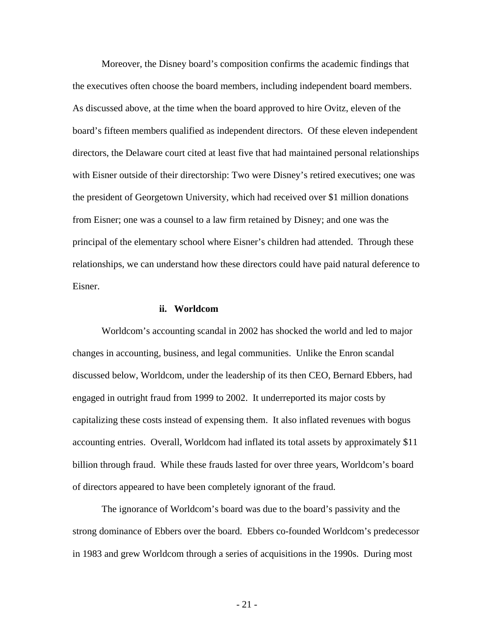Moreover, the Disney board's composition confirms the academic findings that the executives often choose the board members, including independent board members. As discussed above, at the time when the board approved to hire Ovitz, eleven of the board's fifteen members qualified as independent directors. Of these eleven independent directors, the Delaware court cited at least five that had maintained personal relationships with Eisner outside of their directorship: Two were Disney's retired executives; one was the president of Georgetown University, which had received over \$1 million donations from Eisner; one was a counsel to a law firm retained by Disney; and one was the principal of the elementary school where Eisner's children had attended. Through these relationships, we can understand how these directors could have paid natural deference to Eisner.

#### **ii. Worldcom**

Worldcom's accounting scandal in 2002 has shocked the world and led to major changes in accounting, business, and legal communities. Unlike the Enron scandal discussed below, Worldcom, under the leadership of its then CEO, Bernard Ebbers, had engaged in outright fraud from 1999 to 2002. It underreported its major costs by capitalizing these costs instead of expensing them. It also inflated revenues with bogus accounting entries. Overall, Worldcom had inflated its total assets by approximately \$11 billion through fraud. While these frauds lasted for over three years, Worldcom's board of directors appeared to have been completely ignorant of the fraud.

The ignorance of Worldcom's board was due to the board's passivity and the strong dominance of Ebbers over the board. Ebbers co-founded Worldcom's predecessor in 1983 and grew Worldcom through a series of acquisitions in the 1990s. During most

 $-21$  -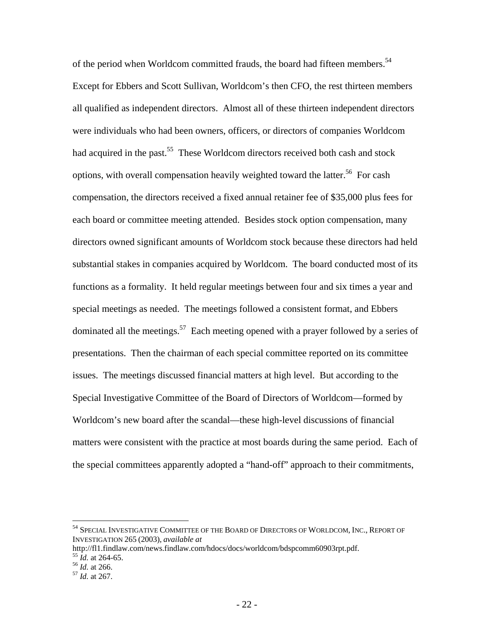of the period when Worldcom committed frauds, the board had fifteen members.<sup>54</sup> Except for Ebbers and Scott Sullivan, Worldcom's then CFO, the rest thirteen members all qualified as independent directors. Almost all of these thirteen independent directors were individuals who had been owners, officers, or directors of companies Worldcom had acquired in the past.<sup>55</sup> These Worldcom directors received both cash and stock options, with overall compensation heavily weighted toward the latter.<sup>56</sup> For cash compensation, the directors received a fixed annual retainer fee of \$35,000 plus fees for each board or committee meeting attended. Besides stock option compensation, many directors owned significant amounts of Worldcom stock because these directors had held substantial stakes in companies acquired by Worldcom. The board conducted most of its functions as a formality. It held regular meetings between four and six times a year and special meetings as needed. The meetings followed a consistent format, and Ebbers dominated all the meetings.<sup>57</sup> Each meeting opened with a prayer followed by a series of presentations. Then the chairman of each special committee reported on its committee issues. The meetings discussed financial matters at high level. But according to the Special Investigative Committee of the Board of Directors of Worldcom—formed by Worldcom's new board after the scandal—these high-level discussions of financial matters were consistent with the practice at most boards during the same period. Each of the special committees apparently adopted a "hand-off" approach to their commitments,

1

<sup>&</sup>lt;sup>54</sup> SPECIAL INVESTIGATIVE COMMITTEE OF THE BOARD OF DIRECTORS OF WORLDCOM, INC., REPORT OF INVESTIGATION 265 (2003), *available at*

http://fl1.findlaw.com/news.findlaw.com/hdocs/docs/worldcom/bdspcomm60903rpt.pdf.<br><sup>55</sup> *Id.* at 264-65.<br><sup>56</sup> *Id.* at 266.<br><sup>57</sup> *Id.* at 267.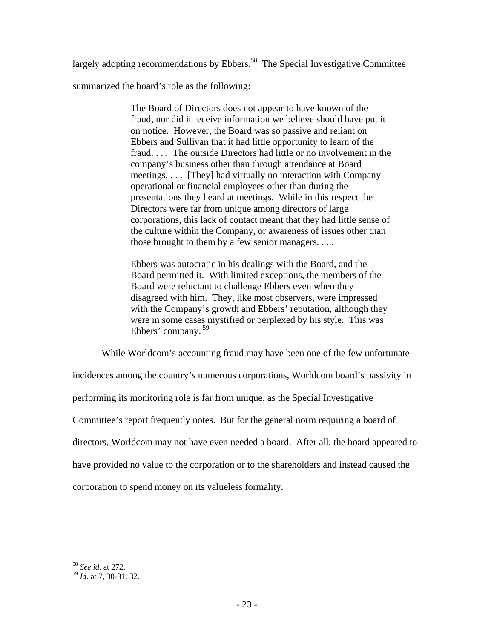largely adopting recommendations by Ebbers.<sup>58</sup> The Special Investigative Committee

summarized the board's role as the following:

The Board of Directors does not appear to have known of the fraud, nor did it receive information we believe should have put it on notice. However, the Board was so passive and reliant on Ebbers and Sullivan that it had little opportunity to learn of the fraud. . . . The outside Directors had little or no involvement in the company's business other than through attendance at Board meetings. . . . [They] had virtually no interaction with Company operational or financial employees other than during the presentations they heard at meetings. While in this respect the Directors were far from unique among directors of large corporations, this lack of contact meant that they had little sense of the culture within the Company, or awareness of issues other than those brought to them by a few senior managers. . . .

Ebbers was autocratic in his dealings with the Board, and the Board permitted it. With limited exceptions, the members of the Board were reluctant to challenge Ebbers even when they disagreed with him. They, like most observers, were impressed with the Company's growth and Ebbers' reputation, although they were in some cases mystified or perplexed by his style. This was Ebbers' company. 59

While Worldcom's accounting fraud may have been one of the few unfortunate incidences among the country's numerous corporations, Worldcom board's passivity in performing its monitoring role is far from unique, as the Special Investigative Committee's report frequently notes. But for the general norm requiring a board of directors, Worldcom may not have even needed a board. After all, the board appeared to have provided no value to the corporation or to the shareholders and instead caused the corporation to spend money on its valueless formality.

<sup>1</sup> <sup>58</sup> *See id.* at 272.

<sup>59</sup> *Id.* at 7, 30-31, 32.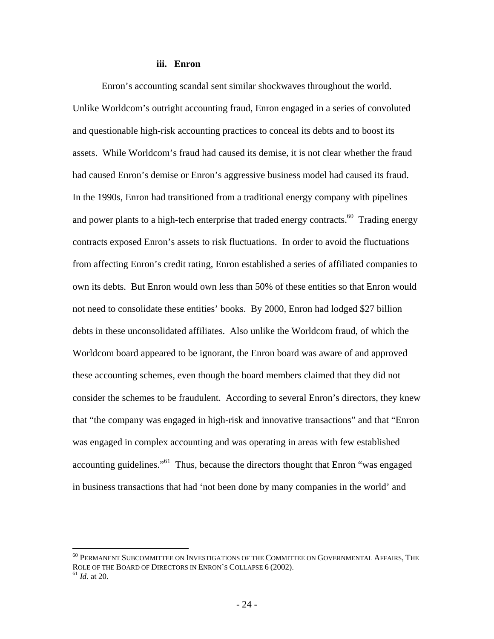#### **iii. Enron**

Enron's accounting scandal sent similar shockwaves throughout the world. Unlike Worldcom's outright accounting fraud, Enron engaged in a series of convoluted and questionable high-risk accounting practices to conceal its debts and to boost its assets. While Worldcom's fraud had caused its demise, it is not clear whether the fraud had caused Enron's demise or Enron's aggressive business model had caused its fraud. In the 1990s, Enron had transitioned from a traditional energy company with pipelines and power plants to a high-tech enterprise that traded energy contracts.<sup>60</sup> Trading energy contracts exposed Enron's assets to risk fluctuations. In order to avoid the fluctuations from affecting Enron's credit rating, Enron established a series of affiliated companies to own its debts. But Enron would own less than 50% of these entities so that Enron would not need to consolidate these entities' books. By 2000, Enron had lodged \$27 billion debts in these unconsolidated affiliates. Also unlike the Worldcom fraud, of which the Worldcom board appeared to be ignorant, the Enron board was aware of and approved these accounting schemes, even though the board members claimed that they did not consider the schemes to be fraudulent. According to several Enron's directors, they knew that "the company was engaged in high-risk and innovative transactions" and that "Enron was engaged in complex accounting and was operating in areas with few established accounting guidelines."61 Thus, because the directors thought that Enron "was engaged in business transactions that had 'not been done by many companies in the world' and

<sup>60</sup> PERMANENT SUBCOMMITTEE ON INVESTIGATIONS OF THE COMMITTEE ON GOVERNMENTAL AFFAIRS, THE ROLE OF THE BOARD OF DIRECTORS IN ENRON'S COLLAPSE 6 (2002). <sup>61</sup> *Id.* at 20.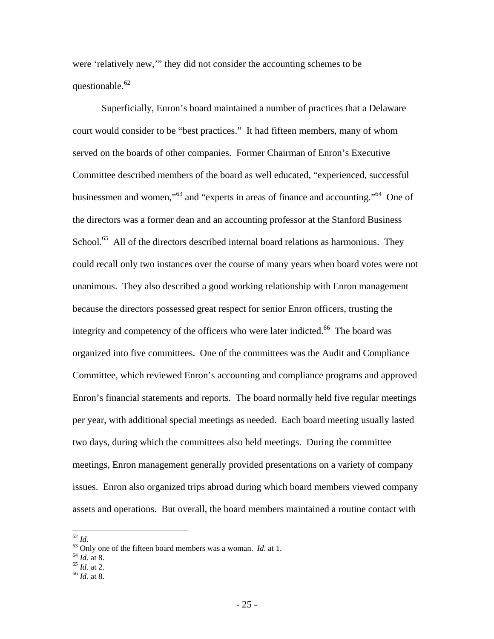were 'relatively new,'" they did not consider the accounting schemes to be questionable.<sup>62</sup>

Superficially, Enron's board maintained a number of practices that a Delaware court would consider to be "best practices." It had fifteen members, many of whom served on the boards of other companies. Former Chairman of Enron's Executive Committee described members of the board as well educated, "experienced, successful businessmen and women,"63 and "experts in areas of finance and accounting."64 One of the directors was a former dean and an accounting professor at the Stanford Business School.<sup>65</sup> All of the directors described internal board relations as harmonious. They could recall only two instances over the course of many years when board votes were not unanimous. They also described a good working relationship with Enron management because the directors possessed great respect for senior Enron officers, trusting the integrity and competency of the officers who were later indicted.<sup>66</sup> The board was organized into five committees. One of the committees was the Audit and Compliance Committee, which reviewed Enron's accounting and compliance programs and approved Enron's financial statements and reports. The board normally held five regular meetings per year, with additional special meetings as needed. Each board meeting usually lasted two days, during which the committees also held meetings. During the committee meetings, Enron management generally provided presentations on a variety of company issues. Enron also organized trips abroad during which board members viewed company assets and operations. But overall, the board members maintained a routine contact with

- 
- 
- 

 $^{62}$   $\mathit{Id}.$ 

<sup>&</sup>lt;sup>63</sup> Only one of the fifteen board members was a woman. *Id.* at 1. <sup>64</sup> *Id.* at 8. <sup>65</sup> *Id.* at 2. <sup>66</sup> *Id.* at 8.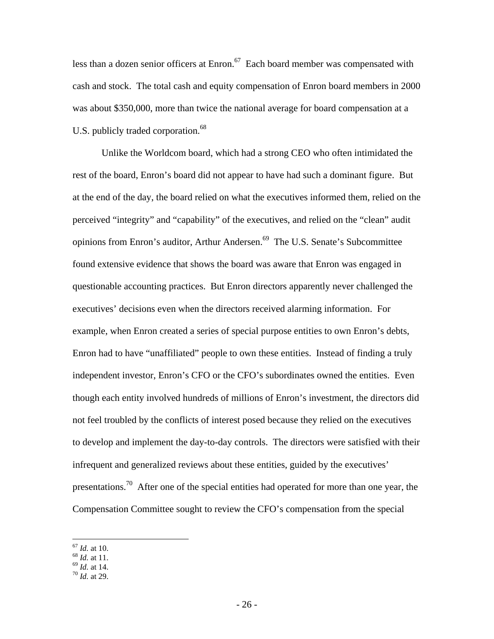less than a dozen senior officers at Enron. $67$  Each board member was compensated with cash and stock. The total cash and equity compensation of Enron board members in 2000 was about \$350,000, more than twice the national average for board compensation at a U.S. publicly traded corporation.<sup>68</sup>

Unlike the Worldcom board, which had a strong CEO who often intimidated the rest of the board, Enron's board did not appear to have had such a dominant figure. But at the end of the day, the board relied on what the executives informed them, relied on the perceived "integrity" and "capability" of the executives, and relied on the "clean" audit opinions from Enron's auditor, Arthur Andersen.<sup>69</sup> The U.S. Senate's Subcommittee found extensive evidence that shows the board was aware that Enron was engaged in questionable accounting practices. But Enron directors apparently never challenged the executives' decisions even when the directors received alarming information. For example, when Enron created a series of special purpose entities to own Enron's debts, Enron had to have "unaffiliated" people to own these entities. Instead of finding a truly independent investor, Enron's CFO or the CFO's subordinates owned the entities. Even though each entity involved hundreds of millions of Enron's investment, the directors did not feel troubled by the conflicts of interest posed because they relied on the executives to develop and implement the day-to-day controls. The directors were satisfied with their infrequent and generalized reviews about these entities, guided by the executives' presentations.<sup>70</sup> After one of the special entities had operated for more than one year, the Compensation Committee sought to review the CFO's compensation from the special

- 
- 

<sup>67</sup> *Id.* at 10. 68 *Id.* at 11. 69 *Id.* at 14. 70 *Id.* at 29.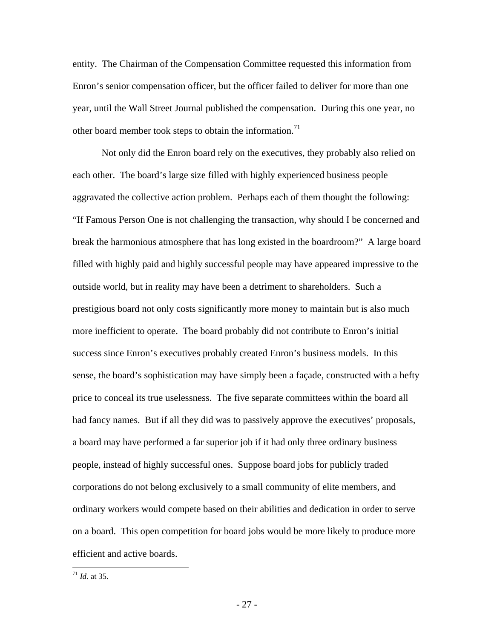entity. The Chairman of the Compensation Committee requested this information from Enron's senior compensation officer, but the officer failed to deliver for more than one year, until the Wall Street Journal published the compensation. During this one year, no other board member took steps to obtain the information.<sup>71</sup>

Not only did the Enron board rely on the executives, they probably also relied on each other. The board's large size filled with highly experienced business people aggravated the collective action problem. Perhaps each of them thought the following: "If Famous Person One is not challenging the transaction, why should I be concerned and break the harmonious atmosphere that has long existed in the boardroom?" A large board filled with highly paid and highly successful people may have appeared impressive to the outside world, but in reality may have been a detriment to shareholders. Such a prestigious board not only costs significantly more money to maintain but is also much more inefficient to operate. The board probably did not contribute to Enron's initial success since Enron's executives probably created Enron's business models. In this sense, the board's sophistication may have simply been a façade, constructed with a hefty price to conceal its true uselessness. The five separate committees within the board all had fancy names. But if all they did was to passively approve the executives' proposals, a board may have performed a far superior job if it had only three ordinary business people, instead of highly successful ones. Suppose board jobs for publicly traded corporations do not belong exclusively to a small community of elite members, and ordinary workers would compete based on their abilities and dedication in order to serve on a board. This open competition for board jobs would be more likely to produce more efficient and active boards.

 $1/71$  *Id.* at 35.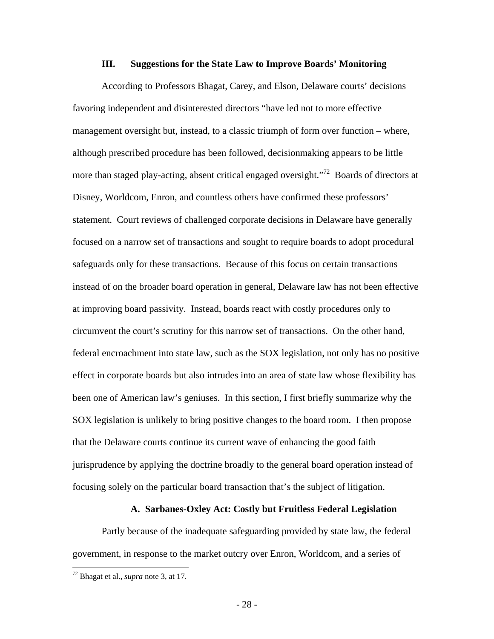### **III. Suggestions for the State Law to Improve Boards' Monitoring**

According to Professors Bhagat, Carey, and Elson, Delaware courts' decisions favoring independent and disinterested directors "have led not to more effective management oversight but, instead, to a classic triumph of form over function – where, although prescribed procedure has been followed, decisionmaking appears to be little more than staged play-acting, absent critical engaged oversight."<sup>72</sup> Boards of directors at Disney, Worldcom, Enron, and countless others have confirmed these professors' statement. Court reviews of challenged corporate decisions in Delaware have generally focused on a narrow set of transactions and sought to require boards to adopt procedural safeguards only for these transactions. Because of this focus on certain transactions instead of on the broader board operation in general, Delaware law has not been effective at improving board passivity. Instead, boards react with costly procedures only to circumvent the court's scrutiny for this narrow set of transactions. On the other hand, federal encroachment into state law, such as the SOX legislation, not only has no positive effect in corporate boards but also intrudes into an area of state law whose flexibility has been one of American law's geniuses. In this section, I first briefly summarize why the SOX legislation is unlikely to bring positive changes to the board room. I then propose that the Delaware courts continue its current wave of enhancing the good faith jurisprudence by applying the doctrine broadly to the general board operation instead of focusing solely on the particular board transaction that's the subject of litigation.

## **A. Sarbanes-Oxley Act: Costly but Fruitless Federal Legislation**

Partly because of the inadequate safeguarding provided by state law, the federal government, in response to the market outcry over Enron, Worldcom, and a series of

<u>.</u>

<sup>72</sup> Bhagat et al., *supra* note 3, at 17.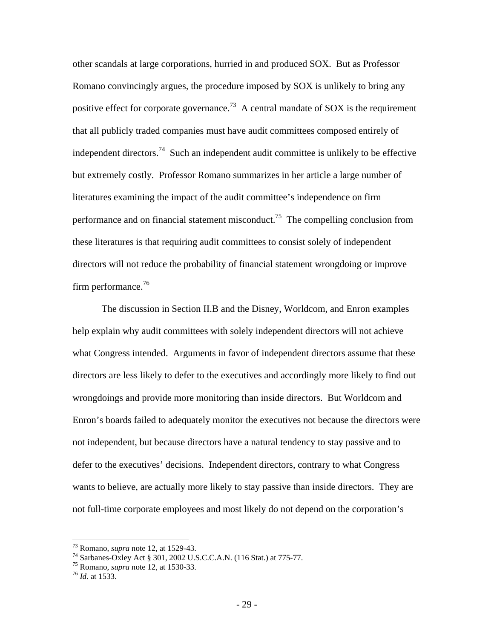other scandals at large corporations, hurried in and produced SOX. But as Professor Romano convincingly argues, the procedure imposed by SOX is unlikely to bring any positive effect for corporate governance.<sup>73</sup> A central mandate of SOX is the requirement that all publicly traded companies must have audit committees composed entirely of independent directors.<sup>74</sup> Such an independent audit committee is unlikely to be effective but extremely costly. Professor Romano summarizes in her article a large number of literatures examining the impact of the audit committee's independence on firm performance and on financial statement misconduct.<sup>75</sup> The compelling conclusion from these literatures is that requiring audit committees to consist solely of independent directors will not reduce the probability of financial statement wrongdoing or improve firm performance.<sup>76</sup>

The discussion in Section II.B and the Disney, Worldcom, and Enron examples help explain why audit committees with solely independent directors will not achieve what Congress intended. Arguments in favor of independent directors assume that these directors are less likely to defer to the executives and accordingly more likely to find out wrongdoings and provide more monitoring than inside directors. But Worldcom and Enron's boards failed to adequately monitor the executives not because the directors were not independent, but because directors have a natural tendency to stay passive and to defer to the executives' decisions. Independent directors, contrary to what Congress wants to believe, are actually more likely to stay passive than inside directors. They are not full-time corporate employees and most likely do not depend on the corporation's

<sup>&</sup>lt;sup>73</sup> Romano, *supra* note 12, at 1529-43.<br><sup>74</sup> Sarbanes-Oxley Act § 301, 2002 U.S.C.C.A.N. (116 Stat.) at 775-77.

<sup>75</sup> Romano, *supra* note 12, at 1530-33. 76 *Id.* at 1533.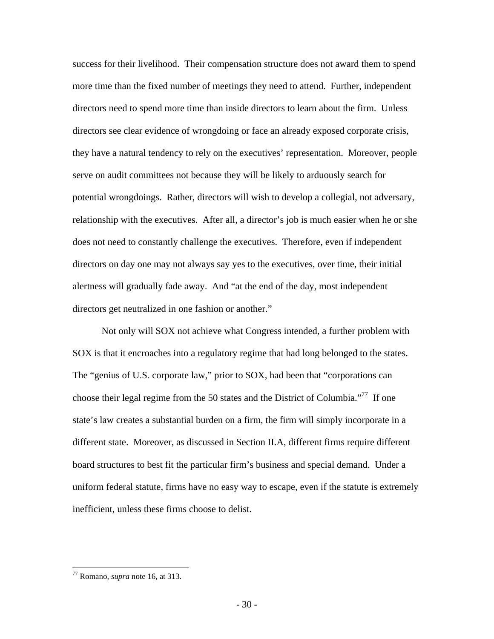success for their livelihood. Their compensation structure does not award them to spend more time than the fixed number of meetings they need to attend. Further, independent directors need to spend more time than inside directors to learn about the firm. Unless directors see clear evidence of wrongdoing or face an already exposed corporate crisis, they have a natural tendency to rely on the executives' representation. Moreover, people serve on audit committees not because they will be likely to arduously search for potential wrongdoings. Rather, directors will wish to develop a collegial, not adversary, relationship with the executives. After all, a director's job is much easier when he or she does not need to constantly challenge the executives. Therefore, even if independent directors on day one may not always say yes to the executives, over time, their initial alertness will gradually fade away. And "at the end of the day, most independent directors get neutralized in one fashion or another."

Not only will SOX not achieve what Congress intended, a further problem with SOX is that it encroaches into a regulatory regime that had long belonged to the states. The "genius of U.S. corporate law," prior to SOX, had been that "corporations can choose their legal regime from the 50 states and the District of Columbia. $177$  If one state's law creates a substantial burden on a firm, the firm will simply incorporate in a different state. Moreover, as discussed in Section II.A, different firms require different board structures to best fit the particular firm's business and special demand. Under a uniform federal statute, firms have no easy way to escape, even if the statute is extremely inefficient, unless these firms choose to delist.

<sup>77</sup> Romano, *supra* note 16, at 313.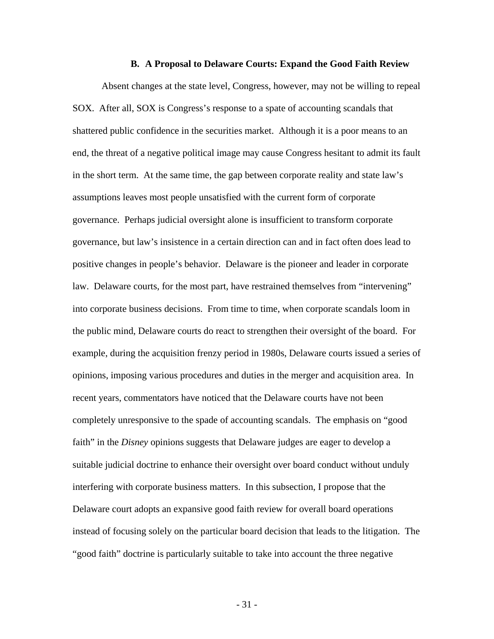#### **B. A Proposal to Delaware Courts: Expand the Good Faith Review**

Absent changes at the state level, Congress, however, may not be willing to repeal SOX. After all, SOX is Congress's response to a spate of accounting scandals that shattered public confidence in the securities market. Although it is a poor means to an end, the threat of a negative political image may cause Congress hesitant to admit its fault in the short term. At the same time, the gap between corporate reality and state law's assumptions leaves most people unsatisfied with the current form of corporate governance. Perhaps judicial oversight alone is insufficient to transform corporate governance, but law's insistence in a certain direction can and in fact often does lead to positive changes in people's behavior. Delaware is the pioneer and leader in corporate law. Delaware courts, for the most part, have restrained themselves from "intervening" into corporate business decisions. From time to time, when corporate scandals loom in the public mind, Delaware courts do react to strengthen their oversight of the board. For example, during the acquisition frenzy period in 1980s, Delaware courts issued a series of opinions, imposing various procedures and duties in the merger and acquisition area. In recent years, commentators have noticed that the Delaware courts have not been completely unresponsive to the spade of accounting scandals. The emphasis on "good faith" in the *Disney* opinions suggests that Delaware judges are eager to develop a suitable judicial doctrine to enhance their oversight over board conduct without unduly interfering with corporate business matters. In this subsection, I propose that the Delaware court adopts an expansive good faith review for overall board operations instead of focusing solely on the particular board decision that leads to the litigation. The "good faith" doctrine is particularly suitable to take into account the three negative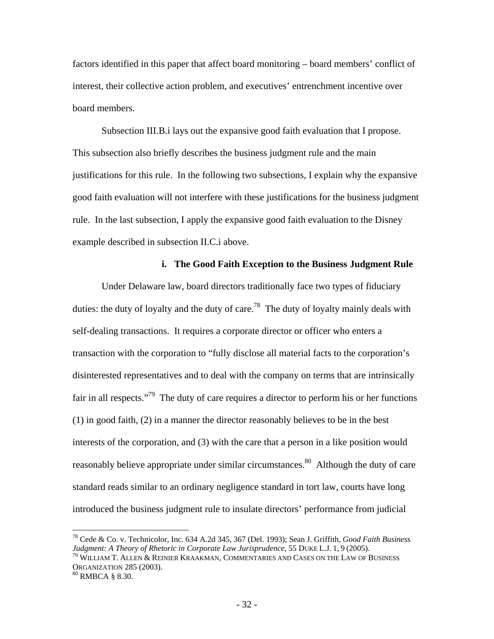factors identified in this paper that affect board monitoring – board members' conflict of interest, their collective action problem, and executives' entrenchment incentive over board members.

Subsection III.B.i lays out the expansive good faith evaluation that I propose. This subsection also briefly describes the business judgment rule and the main justifications for this rule. In the following two subsections, I explain why the expansive good faith evaluation will not interfere with these justifications for the business judgment rule. In the last subsection, I apply the expansive good faith evaluation to the Disney example described in subsection II.C.i above.

### **i. The Good Faith Exception to the Business Judgment Rule**

Under Delaware law, board directors traditionally face two types of fiduciary duties: the duty of loyalty and the duty of care.<sup>78</sup> The duty of loyalty mainly deals with self-dealing transactions. It requires a corporate director or officer who enters a transaction with the corporation to "fully disclose all material facts to the corporation's disinterested representatives and to deal with the company on terms that are intrinsically fair in all respects."79 The duty of care requires a director to perform his or her functions (1) in good faith, (2) in a manner the director reasonably believes to be in the best interests of the corporation, and (3) with the care that a person in a like position would reasonably believe appropriate under similar circumstances.<sup>80</sup> Although the duty of care standard reads similar to an ordinary negligence standard in tort law, courts have long introduced the business judgment rule to insulate directors' performance from judicial

<sup>78</sup> Cede & Co. v. Technicolor, Inc. 634 A.2d 345, 367 (Del. 1993); Sean J. Griffith, *Good Faith Business Judgment: A Theory of Rhetoric in Corporate Law Jurisprudence*, 55 DUKE L.J. 1, 9 (2005).<br><sup>79</sup> WILLIAM T. ALLEN & REINIER KRAAKMAN, COMMENTARIES AND CASES ON THE LAW OF BUSINESS

ORGANIZATION 285 (2003).<br><sup>80</sup> RMBCA § 8.30.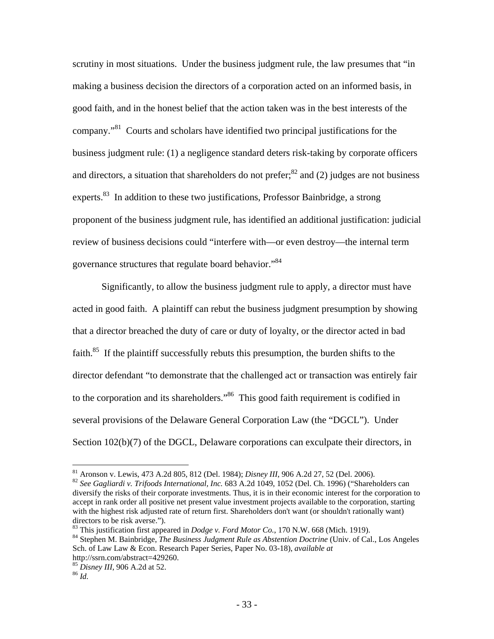scrutiny in most situations. Under the business judgment rule, the law presumes that "in making a business decision the directors of a corporation acted on an informed basis, in good faith, and in the honest belief that the action taken was in the best interests of the company."81 Courts and scholars have identified two principal justifications for the business judgment rule: (1) a negligence standard deters risk-taking by corporate officers and directors, a situation that shareholders do not prefer; $^{82}$  and (2) judges are not business experts.<sup>83</sup> In addition to these two justifications, Professor Bainbridge, a strong proponent of the business judgment rule, has identified an additional justification: judicial review of business decisions could "interfere with—or even destroy—the internal term governance structures that regulate board behavior."84

Significantly, to allow the business judgment rule to apply, a director must have acted in good faith. A plaintiff can rebut the business judgment presumption by showing that a director breached the duty of care or duty of loyalty, or the director acted in bad faith.<sup>85</sup> If the plaintiff successfully rebuts this presumption, the burden shifts to the director defendant "to demonstrate that the challenged act or transaction was entirely fair to the corporation and its shareholders."<sup>86</sup> This good faith requirement is codified in several provisions of the Delaware General Corporation Law (the "DGCL"). Under Section 102(b)(7) of the DGCL, Delaware corporations can exculpate their directors, in

directors to be risk averse.").<br><sup>83</sup> This justification first appeared in *Dodge v. Ford Motor Co.*, 170 N.W. 668 (Mich. 1919).

<sup>81</sup> Aronson v. Lewis, 473 A.2d 805, 812 (Del. 1984); Disney III, 906 A.2d 27, 52 (Del. 2006).

<sup>&</sup>lt;sup>82</sup> See Gagliardi v. Trifoods International, Inc. 683 A.2d 1049, 1052 (Del. Ch. 1996) ("Shareholders can diversify the risks of their corporate investments. Thus, it is in their economic interest for the corporation to accept in rank order all positive net present value investment projects available to the corporation, starting with the highest risk adjusted rate of return first. Shareholders don't want (or shouldn't rationally want)

<sup>&</sup>lt;sup>84</sup> Stephen M. Bainbridge, *The Business Judgment Rule as Abstention Doctrine* (Univ. of Cal., Los Angeles Sch. of Law Law & Econ. Research Paper Series, Paper No. 03-18), *available at* http://ssrn.com/abstract=429260.

<sup>85</sup> *Disney III*, 906 A.2d at 52. 86 *Id.*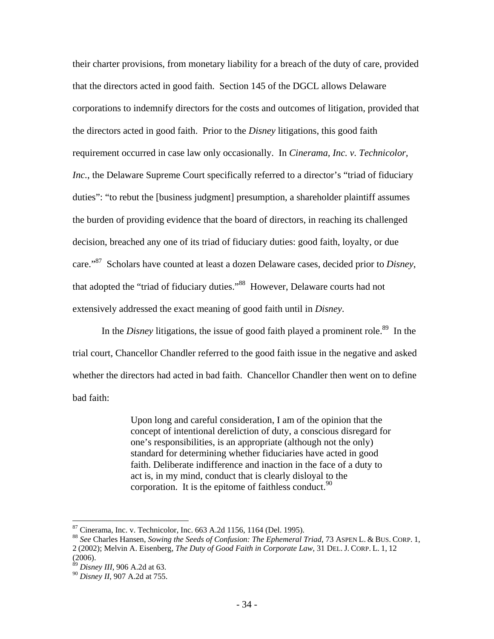their charter provisions, from monetary liability for a breach of the duty of care, provided that the directors acted in good faith. Section 145 of the DGCL allows Delaware corporations to indemnify directors for the costs and outcomes of litigation, provided that the directors acted in good faith. Prior to the *Disney* litigations, this good faith requirement occurred in case law only occasionally. In *Cinerama, Inc. v. Technicolor, Inc.*, the Delaware Supreme Court specifically referred to a director's "triad of fiduciary duties": "to rebut the [business judgment] presumption, a shareholder plaintiff assumes the burden of providing evidence that the board of directors, in reaching its challenged decision, breached any one of its triad of fiduciary duties: good faith, loyalty, or due care."87 Scholars have counted at least a dozen Delaware cases, decided prior to *Disney*, that adopted the "triad of fiduciary duties."<sup>88</sup> However, Delaware courts had not extensively addressed the exact meaning of good faith until in *Disney*.

In the *Disney* litigations, the issue of good faith played a prominent role.<sup>89</sup> In the trial court, Chancellor Chandler referred to the good faith issue in the negative and asked whether the directors had acted in bad faith. Chancellor Chandler then went on to define bad faith:

> Upon long and careful consideration, I am of the opinion that the concept of intentional dereliction of duty, a conscious disregard for one's responsibilities, is an appropriate (although not the only) standard for determining whether fiduciaries have acted in good faith. Deliberate indifference and inaction in the face of a duty to act is, in my mind, conduct that is clearly disloyal to the corporation. It is the epitome of faithless conduct.  $90$

 $87$  Cinerama, Inc. v. Technicolor, Inc. 663 A.2d 1156, 1164 (Del. 1995).

<sup>88</sup> *See* Charles Hansen, *Sowing the Seeds of Confusion: The Ephemeral Triad*, 73 ASPEN L. & BUS. CORP. 1, 2 (2002); Melvin A. Eisenberg, *The Duty of Good Faith in Corporate Law*, 31 DEL. J. CORP. L. 1, 12 (2006).

<sup>89</sup> *Disney III*, 906 A.2d at 63.

<sup>90</sup> *Disney II*, 907 A.2d at 755.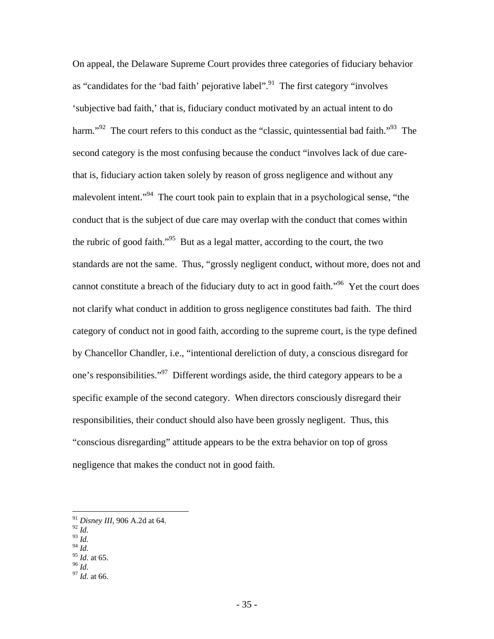On appeal, the Delaware Supreme Court provides three categories of fiduciary behavior as "candidates for the 'bad faith' pejorative label".<sup>91</sup> The first category "involves" 'subjective bad faith,' that is, fiduciary conduct motivated by an actual intent to do harm."<sup>92</sup> The court refers to this conduct as the "classic, quintessential bad faith."<sup>93</sup> The second category is the most confusing because the conduct "involves lack of due carethat is, fiduciary action taken solely by reason of gross negligence and without any malevolent intent."<sup>94</sup> The court took pain to explain that in a psychological sense, "the conduct that is the subject of due care may overlap with the conduct that comes within the rubric of good faith."95 But as a legal matter, according to the court, the two standards are not the same. Thus, "grossly negligent conduct, without more, does not and cannot constitute a breach of the fiduciary duty to act in good faith."96 Yet the court does not clarify what conduct in addition to gross negligence constitutes bad faith. The third category of conduct not in good faith, according to the supreme court, is the type defined by Chancellor Chandler, i.e., "intentional dereliction of duty, a conscious disregard for one's responsibilities."97 Different wordings aside, the third category appears to be a specific example of the second category. When directors consciously disregard their responsibilities, their conduct should also have been grossly negligent. Thus, this "conscious disregarding" attitude appears to be the extra behavior on top of gross negligence that makes the conduct not in good faith.

<sup>92</sup> *Id.* 

- <sup>93</sup> *Id.*
- $\frac{94}{10}$  *Id.* at 65.
- 
- <sup>95</sup> *Id.* at 65. 96 *Id.* <sup>97</sup> *Id.* at 66.
- 

<sup>91</sup> *Disney III*, 906 A.2d at 64.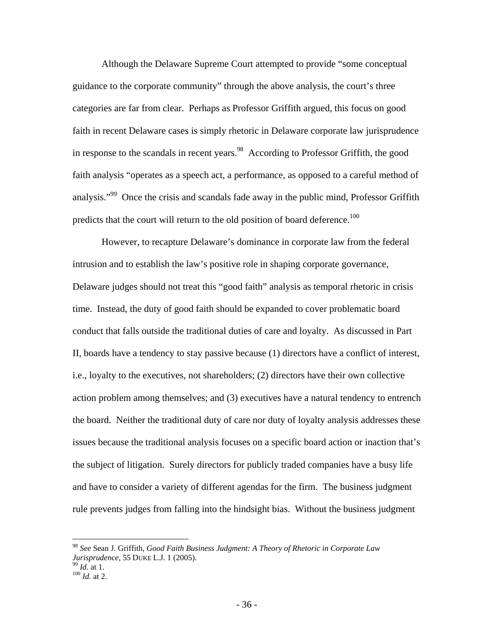Although the Delaware Supreme Court attempted to provide "some conceptual guidance to the corporate community" through the above analysis, the court's three categories are far from clear. Perhaps as Professor Griffith argued, this focus on good faith in recent Delaware cases is simply rhetoric in Delaware corporate law jurisprudence in response to the scandals in recent years.<sup>98</sup> According to Professor Griffith, the good faith analysis "operates as a speech act, a performance, as opposed to a careful method of analysis."<sup>99</sup> Once the crisis and scandals fade away in the public mind, Professor Griffith predicts that the court will return to the old position of board deference.<sup>100</sup>

However, to recapture Delaware's dominance in corporate law from the federal intrusion and to establish the law's positive role in shaping corporate governance, Delaware judges should not treat this "good faith" analysis as temporal rhetoric in crisis time. Instead, the duty of good faith should be expanded to cover problematic board conduct that falls outside the traditional duties of care and loyalty. As discussed in Part II, boards have a tendency to stay passive because (1) directors have a conflict of interest, i.e., loyalty to the executives, not shareholders; (2) directors have their own collective action problem among themselves; and (3) executives have a natural tendency to entrench the board. Neither the traditional duty of care nor duty of loyalty analysis addresses these issues because the traditional analysis focuses on a specific board action or inaction that's the subject of litigation. Surely directors for publicly traded companies have a busy life and have to consider a variety of different agendas for the firm. The business judgment rule prevents judges from falling into the hindsight bias. Without the business judgment

<u>.</u>

<sup>98</sup> *See* Sean J. Griffith, *Good Faith Business Judgment: A Theory of Rhetoric in Corporate Law Jurisprudence*, 55 DUKE L.J. 1 (2005).<br><sup>99</sup> *Id.* at 1.<br><sup>100</sup> *Id.* at 2.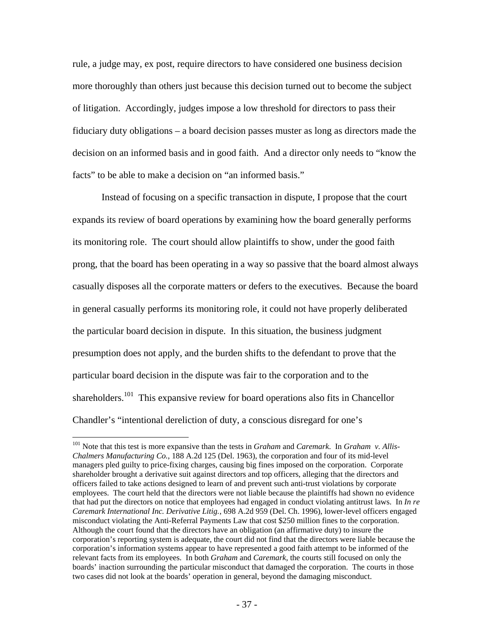rule, a judge may, ex post, require directors to have considered one business decision more thoroughly than others just because this decision turned out to become the subject of litigation. Accordingly, judges impose a low threshold for directors to pass their fiduciary duty obligations – a board decision passes muster as long as directors made the decision on an informed basis and in good faith. And a director only needs to "know the facts" to be able to make a decision on "an informed basis."

Instead of focusing on a specific transaction in dispute, I propose that the court expands its review of board operations by examining how the board generally performs its monitoring role. The court should allow plaintiffs to show, under the good faith prong, that the board has been operating in a way so passive that the board almost always casually disposes all the corporate matters or defers to the executives. Because the board in general casually performs its monitoring role, it could not have properly deliberated the particular board decision in dispute. In this situation, the business judgment presumption does not apply, and the burden shifts to the defendant to prove that the particular board decision in the dispute was fair to the corporation and to the shareholders.<sup>101</sup> This expansive review for board operations also fits in Chancellor Chandler's "intentional dereliction of duty, a conscious disregard for one's

<sup>101</sup> Note that this test is more expansive than the tests in *Graham* and *Caremark*. In *Graham v. Allis-Chalmers Manufacturing Co.*, 188 A.2d 125 (Del. 1963), the corporation and four of its mid-level managers pled guilty to price-fixing charges, causing big fines imposed on the corporation. Corporate shareholder brought a derivative suit against directors and top officers, alleging that the directors and officers failed to take actions designed to learn of and prevent such anti-trust violations by corporate employees. The court held that the directors were not liable because the plaintiffs had shown no evidence that had put the directors on notice that employees had engaged in conduct violating antitrust laws. In *In re Caremark International Inc. Derivative Litig.*, 698 A.2d 959 (Del. Ch. 1996), lower-level officers engaged misconduct violating the Anti-Referral Payments Law that cost \$250 million fines to the corporation. Although the court found that the directors have an obligation (an affirmative duty) to insure the corporation's reporting system is adequate, the court did not find that the directors were liable because the corporation's information systems appear to have represented a good faith attempt to be informed of the relevant facts from its employees. In both *Graham* and *Caremark*, the courts still focused on only the boards' inaction surrounding the particular misconduct that damaged the corporation. The courts in those two cases did not look at the boards' operation in general, beyond the damaging misconduct.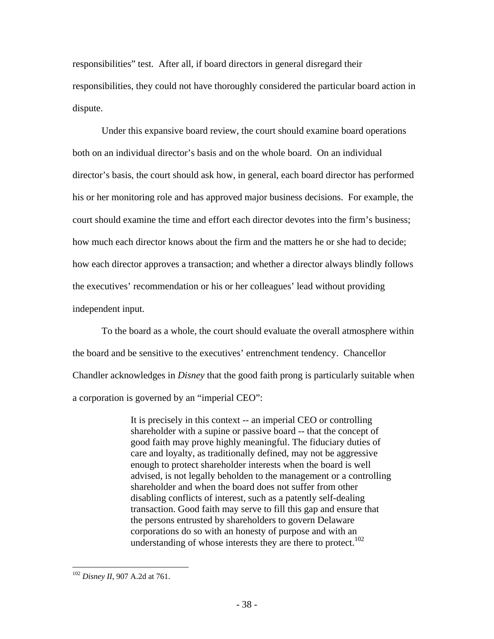responsibilities" test. After all, if board directors in general disregard their responsibilities, they could not have thoroughly considered the particular board action in dispute.

Under this expansive board review, the court should examine board operations both on an individual director's basis and on the whole board. On an individual director's basis, the court should ask how, in general, each board director has performed his or her monitoring role and has approved major business decisions. For example, the court should examine the time and effort each director devotes into the firm's business; how much each director knows about the firm and the matters he or she had to decide; how each director approves a transaction; and whether a director always blindly follows the executives' recommendation or his or her colleagues' lead without providing independent input.

To the board as a whole, the court should evaluate the overall atmosphere within the board and be sensitive to the executives' entrenchment tendency. Chancellor Chandler acknowledges in *Disney* that the good faith prong is particularly suitable when a corporation is governed by an "imperial CEO":

> It is precisely in this context -- an imperial CEO or controlling shareholder with a supine or passive board -- that the concept of good faith may prove highly meaningful. The fiduciary duties of care and loyalty, as traditionally defined, may not be aggressive enough to protect shareholder interests when the board is well advised, is not legally beholden to the management or a controlling shareholder and when the board does not suffer from other disabling conflicts of interest, such as a patently self-dealing transaction. Good faith may serve to fill this gap and ensure that the persons entrusted by shareholders to govern Delaware corporations do so with an honesty of purpose and with an understanding of whose interests they are there to protect.<sup>102</sup>

<sup>102</sup> *Disney II*, 907 A.2d at 761.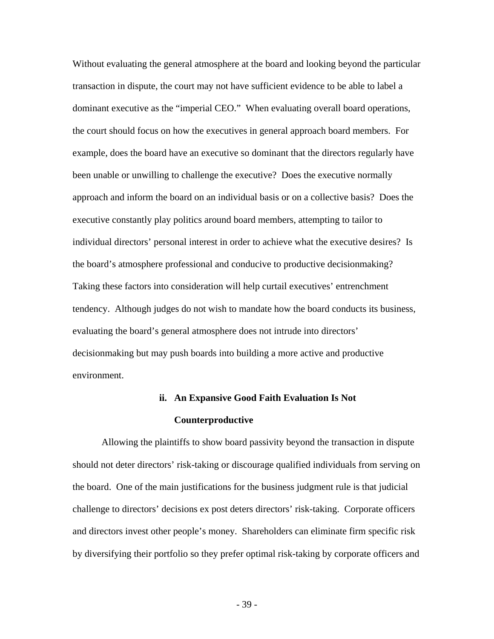Without evaluating the general atmosphere at the board and looking beyond the particular transaction in dispute, the court may not have sufficient evidence to be able to label a dominant executive as the "imperial CEO." When evaluating overall board operations, the court should focus on how the executives in general approach board members. For example, does the board have an executive so dominant that the directors regularly have been unable or unwilling to challenge the executive? Does the executive normally approach and inform the board on an individual basis or on a collective basis? Does the executive constantly play politics around board members, attempting to tailor to individual directors' personal interest in order to achieve what the executive desires? Is the board's atmosphere professional and conducive to productive decisionmaking? Taking these factors into consideration will help curtail executives' entrenchment tendency. Although judges do not wish to mandate how the board conducts its business, evaluating the board's general atmosphere does not intrude into directors' decisionmaking but may push boards into building a more active and productive environment.

## **ii. An Expansive Good Faith Evaluation Is Not Counterproductive**

Allowing the plaintiffs to show board passivity beyond the transaction in dispute should not deter directors' risk-taking or discourage qualified individuals from serving on the board. One of the main justifications for the business judgment rule is that judicial challenge to directors' decisions ex post deters directors' risk-taking. Corporate officers and directors invest other people's money. Shareholders can eliminate firm specific risk by diversifying their portfolio so they prefer optimal risk-taking by corporate officers and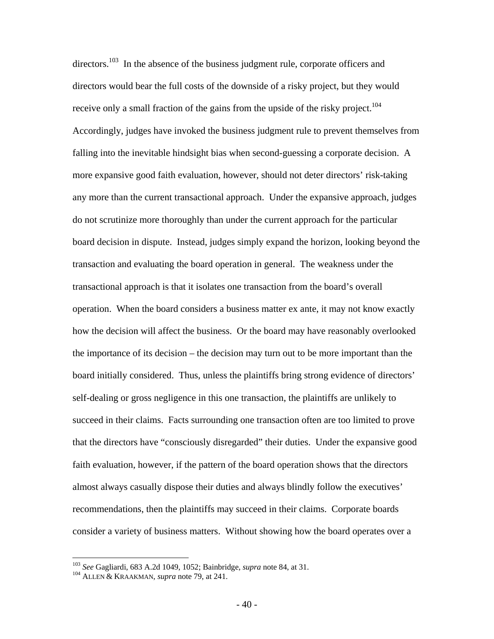$direction<sup>103</sup>$  In the absence of the business judgment rule, corporate officers and directors would bear the full costs of the downside of a risky project, but they would receive only a small fraction of the gains from the upside of the risky project.<sup>104</sup> Accordingly, judges have invoked the business judgment rule to prevent themselves from falling into the inevitable hindsight bias when second-guessing a corporate decision. A more expansive good faith evaluation, however, should not deter directors' risk-taking any more than the current transactional approach. Under the expansive approach, judges do not scrutinize more thoroughly than under the current approach for the particular board decision in dispute. Instead, judges simply expand the horizon, looking beyond the transaction and evaluating the board operation in general. The weakness under the transactional approach is that it isolates one transaction from the board's overall operation. When the board considers a business matter ex ante, it may not know exactly how the decision will affect the business. Or the board may have reasonably overlooked the importance of its decision – the decision may turn out to be more important than the board initially considered. Thus, unless the plaintiffs bring strong evidence of directors' self-dealing or gross negligence in this one transaction, the plaintiffs are unlikely to succeed in their claims. Facts surrounding one transaction often are too limited to prove that the directors have "consciously disregarded" their duties. Under the expansive good faith evaluation, however, if the pattern of the board operation shows that the directors almost always casually dispose their duties and always blindly follow the executives' recommendations, then the plaintiffs may succeed in their claims. Corporate boards consider a variety of business matters. Without showing how the board operates over a

<sup>103</sup> *See* Gagliardi, 683 A.2d 1049, 1052; Bainbridge, *supra* note 84, at 31. 104 ALLEN & KRAAKMAN, *supra* note 79, at 241.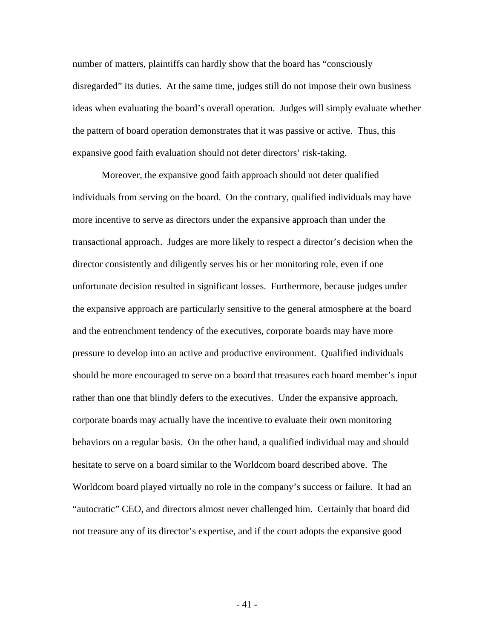number of matters, plaintiffs can hardly show that the board has "consciously disregarded" its duties. At the same time, judges still do not impose their own business ideas when evaluating the board's overall operation. Judges will simply evaluate whether the pattern of board operation demonstrates that it was passive or active. Thus, this expansive good faith evaluation should not deter directors' risk-taking.

Moreover, the expansive good faith approach should not deter qualified individuals from serving on the board. On the contrary, qualified individuals may have more incentive to serve as directors under the expansive approach than under the transactional approach. Judges are more likely to respect a director's decision when the director consistently and diligently serves his or her monitoring role, even if one unfortunate decision resulted in significant losses. Furthermore, because judges under the expansive approach are particularly sensitive to the general atmosphere at the board and the entrenchment tendency of the executives, corporate boards may have more pressure to develop into an active and productive environment. Qualified individuals should be more encouraged to serve on a board that treasures each board member's input rather than one that blindly defers to the executives. Under the expansive approach, corporate boards may actually have the incentive to evaluate their own monitoring behaviors on a regular basis. On the other hand, a qualified individual may and should hesitate to serve on a board similar to the Worldcom board described above. The Worldcom board played virtually no role in the company's success or failure. It had an "autocratic" CEO, and directors almost never challenged him. Certainly that board did not treasure any of its director's expertise, and if the court adopts the expansive good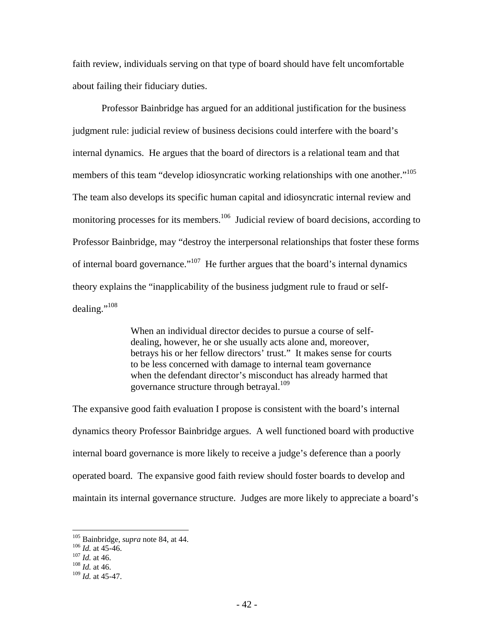faith review, individuals serving on that type of board should have felt uncomfortable about failing their fiduciary duties.

Professor Bainbridge has argued for an additional justification for the business judgment rule: judicial review of business decisions could interfere with the board's internal dynamics. He argues that the board of directors is a relational team and that members of this team "develop idiosyncratic working relationships with one another."105 The team also develops its specific human capital and idiosyncratic internal review and monitoring processes for its members.<sup>106</sup> Judicial review of board decisions, according to Professor Bainbridge, may "destroy the interpersonal relationships that foster these forms of internal board governance."<sup>107</sup> He further argues that the board's internal dynamics theory explains the "inapplicability of the business judgment rule to fraud or selfdealing."<sup>108</sup>

> When an individual director decides to pursue a course of selfdealing, however, he or she usually acts alone and, moreover, betrays his or her fellow directors' trust." It makes sense for courts to be less concerned with damage to internal team governance when the defendant director's misconduct has already harmed that governance structure through betrayal.<sup>109</sup>

The expansive good faith evaluation I propose is consistent with the board's internal dynamics theory Professor Bainbridge argues. A well functioned board with productive internal board governance is more likely to receive a judge's deference than a poorly operated board. The expansive good faith review should foster boards to develop and maintain its internal governance structure. Judges are more likely to appreciate a board's

<sup>105</sup> Bainbridge, *supra* note 84, at 44. 106 *Id.* at 45-46. 107 *Id.* at 46. 108 *Id.* at 46.

<sup>109</sup> *Id.* at 45-47.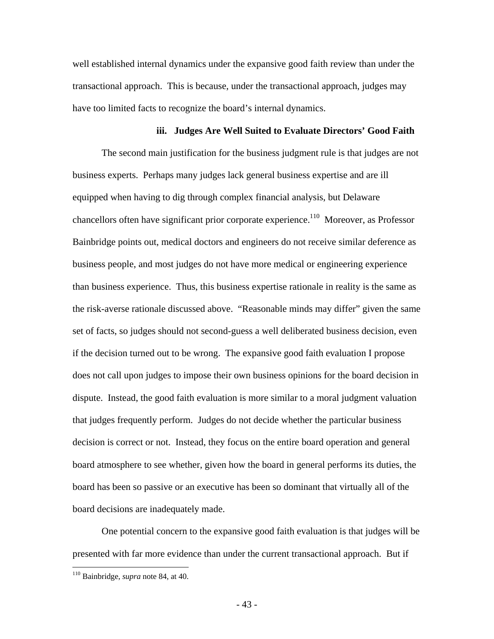well established internal dynamics under the expansive good faith review than under the transactional approach. This is because, under the transactional approach, judges may have too limited facts to recognize the board's internal dynamics.

### **iii. Judges Are Well Suited to Evaluate Directors' Good Faith**

The second main justification for the business judgment rule is that judges are not business experts. Perhaps many judges lack general business expertise and are ill equipped when having to dig through complex financial analysis, but Delaware chancellors often have significant prior corporate experience.<sup>110</sup> Moreover, as Professor Bainbridge points out, medical doctors and engineers do not receive similar deference as business people, and most judges do not have more medical or engineering experience than business experience. Thus, this business expertise rationale in reality is the same as the risk-averse rationale discussed above. "Reasonable minds may differ" given the same set of facts, so judges should not second-guess a well deliberated business decision, even if the decision turned out to be wrong. The expansive good faith evaluation I propose does not call upon judges to impose their own business opinions for the board decision in dispute. Instead, the good faith evaluation is more similar to a moral judgment valuation that judges frequently perform. Judges do not decide whether the particular business decision is correct or not. Instead, they focus on the entire board operation and general board atmosphere to see whether, given how the board in general performs its duties, the board has been so passive or an executive has been so dominant that virtually all of the board decisions are inadequately made.

One potential concern to the expansive good faith evaluation is that judges will be presented with far more evidence than under the current transactional approach. But if

<sup>110</sup> Bainbridge, *supra* note 84, at 40.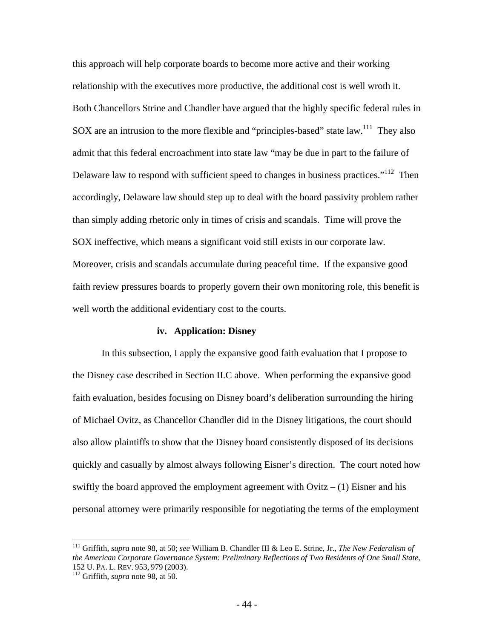this approach will help corporate boards to become more active and their working relationship with the executives more productive, the additional cost is well wroth it. Both Chancellors Strine and Chandler have argued that the highly specific federal rules in SOX are an intrusion to the more flexible and "principles-based" state law.<sup>111</sup> They also admit that this federal encroachment into state law "may be due in part to the failure of Delaware law to respond with sufficient speed to changes in business practices."<sup>112</sup> Then accordingly, Delaware law should step up to deal with the board passivity problem rather than simply adding rhetoric only in times of crisis and scandals. Time will prove the SOX ineffective, which means a significant void still exists in our corporate law. Moreover, crisis and scandals accumulate during peaceful time. If the expansive good faith review pressures boards to properly govern their own monitoring role, this benefit is well worth the additional evidentiary cost to the courts.

### **iv. Application: Disney**

In this subsection, I apply the expansive good faith evaluation that I propose to the Disney case described in Section II.C above. When performing the expansive good faith evaluation, besides focusing on Disney board's deliberation surrounding the hiring of Michael Ovitz, as Chancellor Chandler did in the Disney litigations, the court should also allow plaintiffs to show that the Disney board consistently disposed of its decisions quickly and casually by almost always following Eisner's direction. The court noted how swiftly the board approved the employment agreement with  $Ov$  itz  $- (1)$  Eisner and his personal attorney were primarily responsible for negotiating the terms of the employment

<sup>111</sup> Griffith, *supra* note 98, at 50; *see* William B. Chandler III & Leo E. Strine, Jr., *The New Federalism of the American Corporate Governance System: Preliminary Reflections of Two Residents of One Small State*, 152 U. PA. L. REV. 953, <sup>979</sup> (2003). 112 Griffith, *supra* note 98, at 50.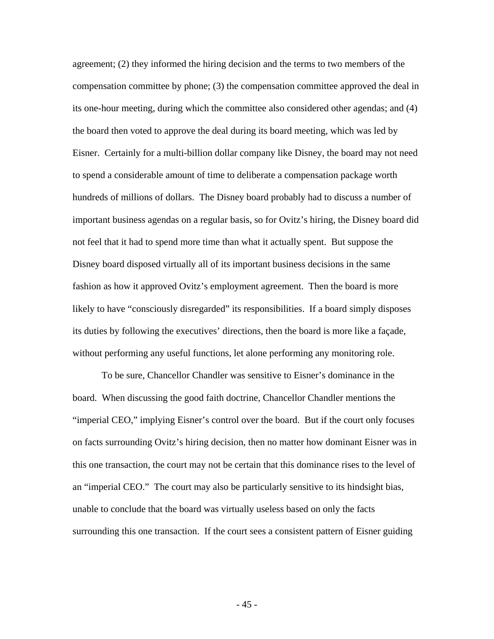agreement; (2) they informed the hiring decision and the terms to two members of the compensation committee by phone; (3) the compensation committee approved the deal in its one-hour meeting, during which the committee also considered other agendas; and (4) the board then voted to approve the deal during its board meeting, which was led by Eisner. Certainly for a multi-billion dollar company like Disney, the board may not need to spend a considerable amount of time to deliberate a compensation package worth hundreds of millions of dollars. The Disney board probably had to discuss a number of important business agendas on a regular basis, so for Ovitz's hiring, the Disney board did not feel that it had to spend more time than what it actually spent. But suppose the Disney board disposed virtually all of its important business decisions in the same fashion as how it approved Ovitz's employment agreement. Then the board is more likely to have "consciously disregarded" its responsibilities. If a board simply disposes its duties by following the executives' directions, then the board is more like a façade, without performing any useful functions, let alone performing any monitoring role.

To be sure, Chancellor Chandler was sensitive to Eisner's dominance in the board. When discussing the good faith doctrine, Chancellor Chandler mentions the "imperial CEO," implying Eisner's control over the board. But if the court only focuses on facts surrounding Ovitz's hiring decision, then no matter how dominant Eisner was in this one transaction, the court may not be certain that this dominance rises to the level of an "imperial CEO." The court may also be particularly sensitive to its hindsight bias, unable to conclude that the board was virtually useless based on only the facts surrounding this one transaction. If the court sees a consistent pattern of Eisner guiding

 $-45 -$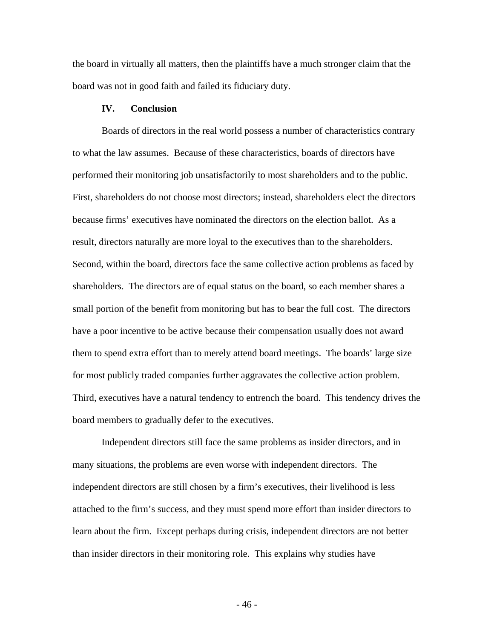the board in virtually all matters, then the plaintiffs have a much stronger claim that the board was not in good faith and failed its fiduciary duty.

## **IV. Conclusion**

Boards of directors in the real world possess a number of characteristics contrary to what the law assumes. Because of these characteristics, boards of directors have performed their monitoring job unsatisfactorily to most shareholders and to the public. First, shareholders do not choose most directors; instead, shareholders elect the directors because firms' executives have nominated the directors on the election ballot. As a result, directors naturally are more loyal to the executives than to the shareholders. Second, within the board, directors face the same collective action problems as faced by shareholders. The directors are of equal status on the board, so each member shares a small portion of the benefit from monitoring but has to bear the full cost. The directors have a poor incentive to be active because their compensation usually does not award them to spend extra effort than to merely attend board meetings. The boards' large size for most publicly traded companies further aggravates the collective action problem. Third, executives have a natural tendency to entrench the board. This tendency drives the board members to gradually defer to the executives.

Independent directors still face the same problems as insider directors, and in many situations, the problems are even worse with independent directors. The independent directors are still chosen by a firm's executives, their livelihood is less attached to the firm's success, and they must spend more effort than insider directors to learn about the firm. Except perhaps during crisis, independent directors are not better than insider directors in their monitoring role. This explains why studies have

 $-46-$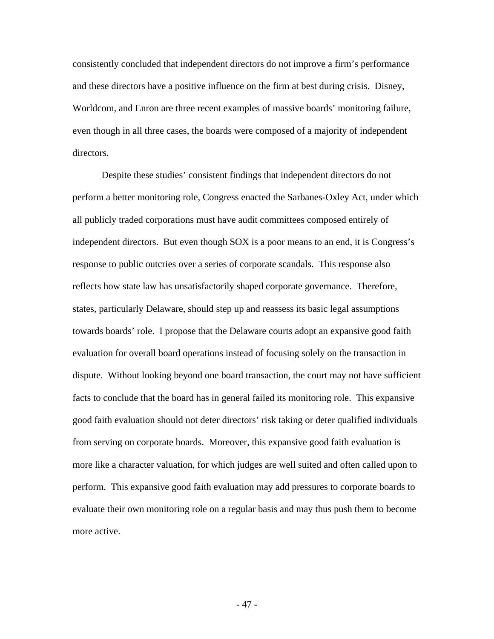consistently concluded that independent directors do not improve a firm's performance and these directors have a positive influence on the firm at best during crisis. Disney, Worldcom, and Enron are three recent examples of massive boards' monitoring failure, even though in all three cases, the boards were composed of a majority of independent directors.

Despite these studies' consistent findings that independent directors do not perform a better monitoring role, Congress enacted the Sarbanes-Oxley Act, under which all publicly traded corporations must have audit committees composed entirely of independent directors. But even though SOX is a poor means to an end, it is Congress's response to public outcries over a series of corporate scandals. This response also reflects how state law has unsatisfactorily shaped corporate governance. Therefore, states, particularly Delaware, should step up and reassess its basic legal assumptions towards boards' role. I propose that the Delaware courts adopt an expansive good faith evaluation for overall board operations instead of focusing solely on the transaction in dispute. Without looking beyond one board transaction, the court may not have sufficient facts to conclude that the board has in general failed its monitoring role. This expansive good faith evaluation should not deter directors' risk taking or deter qualified individuals from serving on corporate boards. Moreover, this expansive good faith evaluation is more like a character valuation, for which judges are well suited and often called upon to perform. This expansive good faith evaluation may add pressures to corporate boards to evaluate their own monitoring role on a regular basis and may thus push them to become more active.